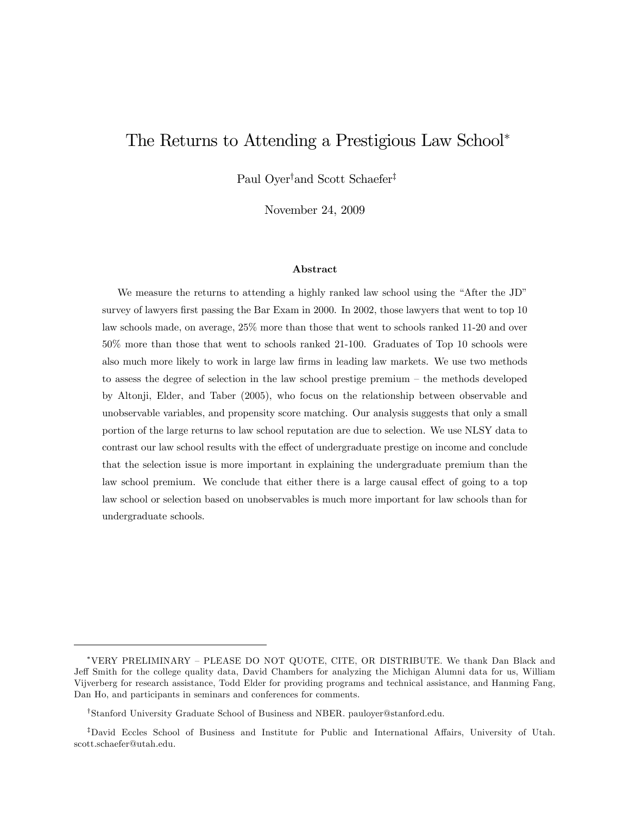# The Returns to Attending a Prestigious Law School

Paul Oyer<sup>†</sup>and Scott Schaefer<sup>‡</sup>

November 24, 2009

#### Abstract

We measure the returns to attending a highly ranked law school using the "After the JD" survey of lawyers first passing the Bar Exam in 2000. In 2002, those lawyers that went to top 10 law schools made, on average, 25% more than those that went to schools ranked 11-20 and over 50% more than those that went to schools ranked 21-100. Graduates of Top 10 schools were also much more likely to work in large law firms in leading law markets. We use two methods to assess the degree of selection in the law school prestige premium  $-$  the methods developed by Altonji, Elder, and Taber (2005), who focus on the relationship between observable and unobservable variables, and propensity score matching. Our analysis suggests that only a small portion of the large returns to law school reputation are due to selection. We use NLSY data to contrast our law school results with the effect of undergraduate prestige on income and conclude that the selection issue is more important in explaining the undergraduate premium than the law school premium. We conclude that either there is a large causal effect of going to a top law school or selection based on unobservables is much more important for law schools than for undergraduate schools.

<sup>\*</sup>VERY PRELIMINARY - PLEASE DO NOT QUOTE, CITE, OR DISTRIBUTE. We thank Dan Black and Jeff Smith for the college quality data, David Chambers for analyzing the Michigan Alumni data for us, William Vijverberg for research assistance, Todd Elder for providing programs and technical assistance, and Hanming Fang, Dan Ho, and participants in seminars and conferences for comments.

<sup>&</sup>lt;sup>T</sup>Stanford University Graduate School of Business and NBER. pauloyer@stanford.edu.

<sup>&</sup>lt;sup>‡</sup>David Eccles School of Business and Institute for Public and International Affairs, University of Utah. scott.schaefer@utah.edu.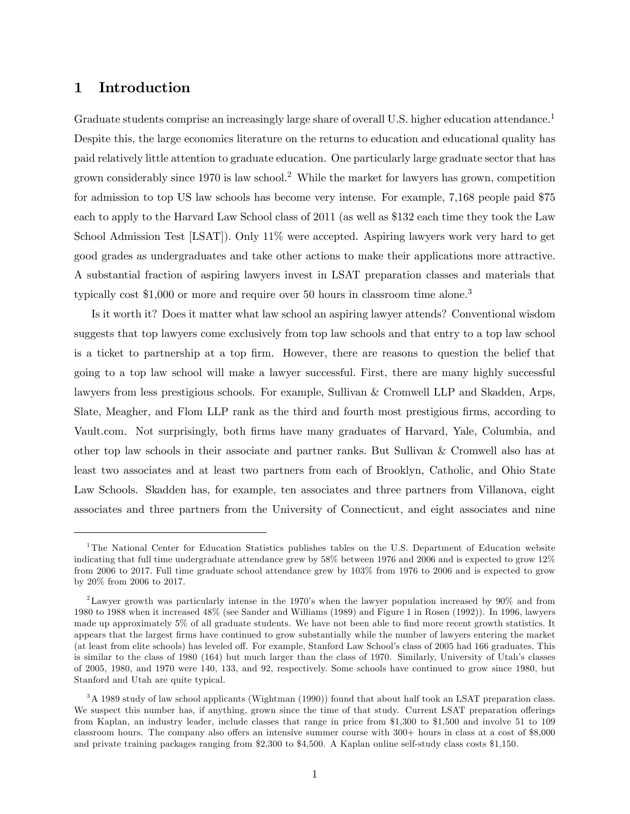## 1 Introduction

Graduate students comprise an increasingly large share of overall U.S. higher education attendance.<sup>1</sup> Despite this, the large economics literature on the returns to education and educational quality has paid relatively little attention to graduate education. One particularly large graduate sector that has grown considerably since  $1970$  is law school.<sup>2</sup> While the market for lawyers has grown, competition for admission to top US law schools has become very intense. For example, 7,168 people paid \$75 each to apply to the Harvard Law School class of 2011 (as well as \$132 each time they took the Law School Admission Test [LSAT]). Only 11% were accepted. Aspiring lawyers work very hard to get good grades as undergraduates and take other actions to make their applications more attractive. A substantial fraction of aspiring lawyers invest in LSAT preparation classes and materials that typically cost  $$1,000$  or more and require over 50 hours in classroom time alone.<sup>3</sup>

Is it worth it? Does it matter what law school an aspiring lawyer attends? Conventional wisdom suggests that top lawyers come exclusively from top law schools and that entry to a top law school is a ticket to partnership at a top Örm. However, there are reasons to question the belief that going to a top law school will make a lawyer successful. First, there are many highly successful lawyers from less prestigious schools. For example, Sullivan & Cromwell LLP and Skadden, Arps, Slate, Meagher, and Flom LLP rank as the third and fourth most prestigious firms, according to Vault.com. Not surprisingly, both Örms have many graduates of Harvard, Yale, Columbia, and other top law schools in their associate and partner ranks. But Sullivan & Cromwell also has at least two associates and at least two partners from each of Brooklyn, Catholic, and Ohio State Law Schools. Skadden has, for example, ten associates and three partners from Villanova, eight associates and three partners from the University of Connecticut, and eight associates and nine

<sup>&</sup>lt;sup>1</sup>The National Center for Education Statistics publishes tables on the U.S. Department of Education website indicating that full time undergraduate attendance grew by 58% between 1976 and 2006 and is expected to grow 12% from 2006 to 2017. Full time graduate school attendance grew by 103% from 1976 to 2006 and is expected to grow by 20% from 2006 to 2017.

<sup>&</sup>lt;sup>2</sup>Lawyer growth was particularly intense in the 1970's when the lawyer population increased by 90% and from 1980 to 1988 when it increased 48% (see Sander and Williams (1989) and Figure 1 in Rosen (1992)). In 1996, lawyers made up approximately 5% of all graduate students. We have not been able to find more recent growth statistics. It appears that the largest Örms have continued to grow substantially while the number of lawyers entering the market (at least from elite schools) has leveled off. For example, Stanford Law School's class of 2005 had 166 graduates. This is similar to the class of 1980 (164) but much larger than the class of 1970. Similarly, University of Utah's classes of 2005, 1980, and 1970 were 140, 133, and 92, respectively. Some schools have continued to grow since 1980, but Stanford and Utah are quite typical.

<sup>&</sup>lt;sup>3</sup>A 1989 study of law school applicants (Wightman (1990)) found that about half took an LSAT preparation class. We suspect this number has, if anything, grown since the time of that study. Current LSAT preparation offerings from Kaplan, an industry leader, include classes that range in price from \$1,300 to \$1,500 and involve 51 to 109 classroom hours. The company also offers an intensive summer course with  $300+$  hours in class at a cost of \$8,000 and private training packages ranging from \$2,300 to \$4,500. A Kaplan online self-study class costs \$1,150.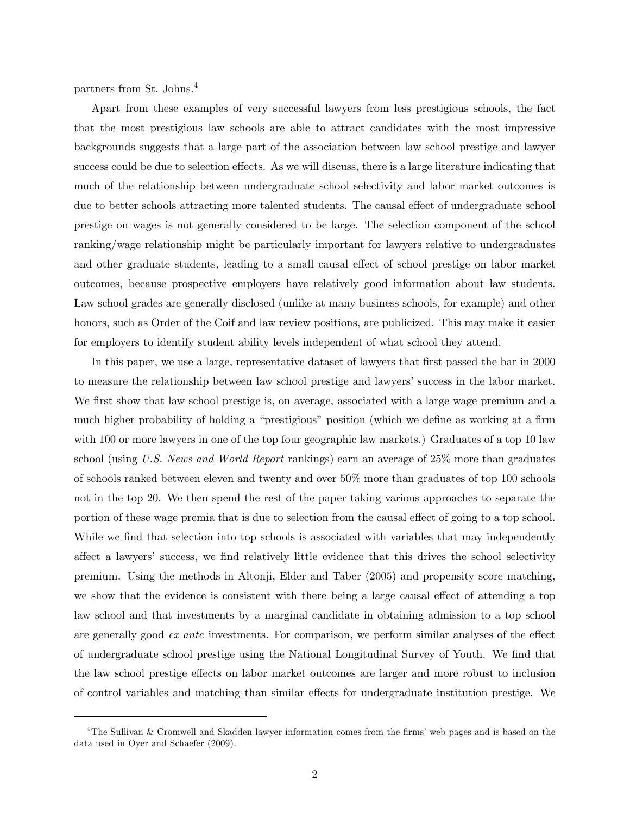partners from St. Johns.<sup>4</sup>

Apart from these examples of very successful lawyers from less prestigious schools, the fact that the most prestigious law schools are able to attract candidates with the most impressive backgrounds suggests that a large part of the association between law school prestige and lawyer success could be due to selection effects. As we will discuss, there is a large literature indicating that much of the relationship between undergraduate school selectivity and labor market outcomes is due to better schools attracting more talented students. The causal effect of undergraduate school prestige on wages is not generally considered to be large. The selection component of the school ranking/wage relationship might be particularly important for lawyers relative to undergraduates and other graduate students, leading to a small causal effect of school prestige on labor market outcomes, because prospective employers have relatively good information about law students. Law school grades are generally disclosed (unlike at many business schools, for example) and other honors, such as Order of the Coif and law review positions, are publicized. This may make it easier for employers to identify student ability levels independent of what school they attend.

In this paper, we use a large, representative dataset of lawyers that first passed the bar in 2000 to measure the relationship between law school prestige and lawyers' success in the labor market. We first show that law school prestige is, on average, associated with a large wage premium and a much higher probability of holding a "prestigious" position (which we define as working at a firm with 100 or more lawyers in one of the top four geographic law markets.) Graduates of a top 10 law school (using U.S. News and World Report rankings) earn an average of 25% more than graduates of schools ranked between eleven and twenty and over 50% more than graduates of top 100 schools not in the top 20. We then spend the rest of the paper taking various approaches to separate the portion of these wage premia that is due to selection from the causal effect of going to a top school. While we find that selection into top schools is associated with variables that may independently affect a lawyers' success, we find relatively little evidence that this drives the school selectivity premium. Using the methods in Altonji, Elder and Taber (2005) and propensity score matching, we show that the evidence is consistent with there being a large causal effect of attending a top law school and that investments by a marginal candidate in obtaining admission to a top school are generally good  $ex$  ante investments. For comparison, we perform similar analyses of the effect of undergraduate school prestige using the National Longitudinal Survey of Youth. We find that the law school prestige effects on labor market outcomes are larger and more robust to inclusion of control variables and matching than similar effects for undergraduate institution prestige. We

 $4$ The Sullivan & Cromwell and Skadden lawyer information comes from the firms' web pages and is based on the data used in Oyer and Schaefer (2009).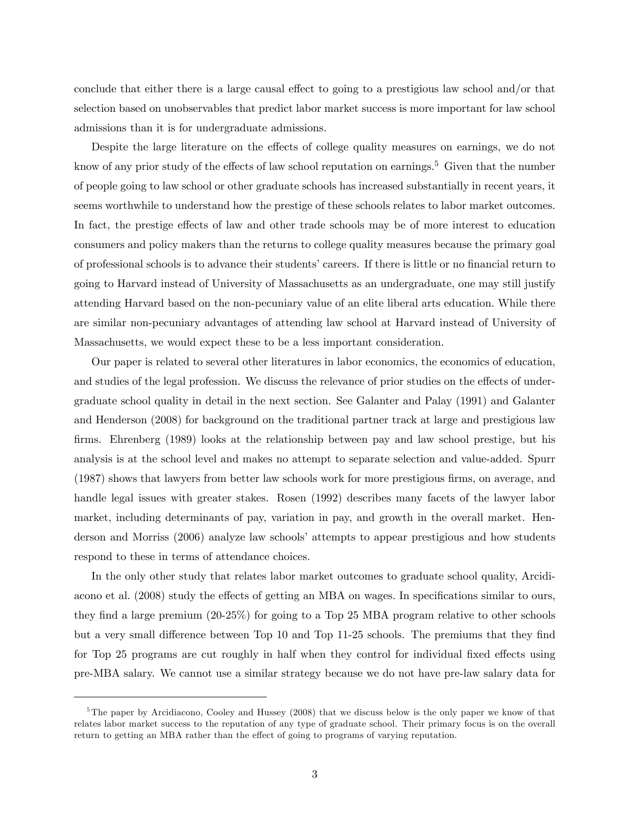conclude that either there is a large causal effect to going to a prestigious law school and/or that selection based on unobservables that predict labor market success is more important for law school admissions than it is for undergraduate admissions.

Despite the large literature on the effects of college quality measures on earnings, we do not know of any prior study of the effects of law school reputation on earnings.<sup>5</sup> Given that the number of people going to law school or other graduate schools has increased substantially in recent years, it seems worthwhile to understand how the prestige of these schools relates to labor market outcomes. In fact, the prestige effects of law and other trade schools may be of more interest to education consumers and policy makers than the returns to college quality measures because the primary goal of professional schools is to advance their students' careers. If there is little or no financial return to going to Harvard instead of University of Massachusetts as an undergraduate, one may still justify attending Harvard based on the non-pecuniary value of an elite liberal arts education. While there are similar non-pecuniary advantages of attending law school at Harvard instead of University of Massachusetts, we would expect these to be a less important consideration.

Our paper is related to several other literatures in labor economics, the economics of education, and studies of the legal profession. We discuss the relevance of prior studies on the effects of undergraduate school quality in detail in the next section. See Galanter and Palay (1991) and Galanter and Henderson (2008) for background on the traditional partner track at large and prestigious law firms. Ehrenberg (1989) looks at the relationship between pay and law school prestige, but his analysis is at the school level and makes no attempt to separate selection and value-added. Spurr (1987) shows that lawyers from better law schools work for more prestigious Örms, on average, and handle legal issues with greater stakes. Rosen (1992) describes many facets of the lawyer labor market, including determinants of pay, variation in pay, and growth in the overall market. Henderson and Morriss (2006) analyze law schools' attempts to appear prestigious and how students respond to these in terms of attendance choices.

In the only other study that relates labor market outcomes to graduate school quality, Arcidiacono et al. (2008) study the effects of getting an MBA on wages. In specifications similar to ours, they find a large premium  $(20-25\%)$  for going to a Top 25 MBA program relative to other schools but a very small difference between Top 10 and Top 11-25 schools. The premiums that they find for Top 25 programs are cut roughly in half when they control for individual fixed effects using pre-MBA salary. We cannot use a similar strategy because we do not have pre-law salary data for

<sup>&</sup>lt;sup>5</sup>The paper by Arcidiacono, Cooley and Hussey (2008) that we discuss below is the only paper we know of that relates labor market success to the reputation of any type of graduate school. Their primary focus is on the overall return to getting an MBA rather than the effect of going to programs of varying reputation.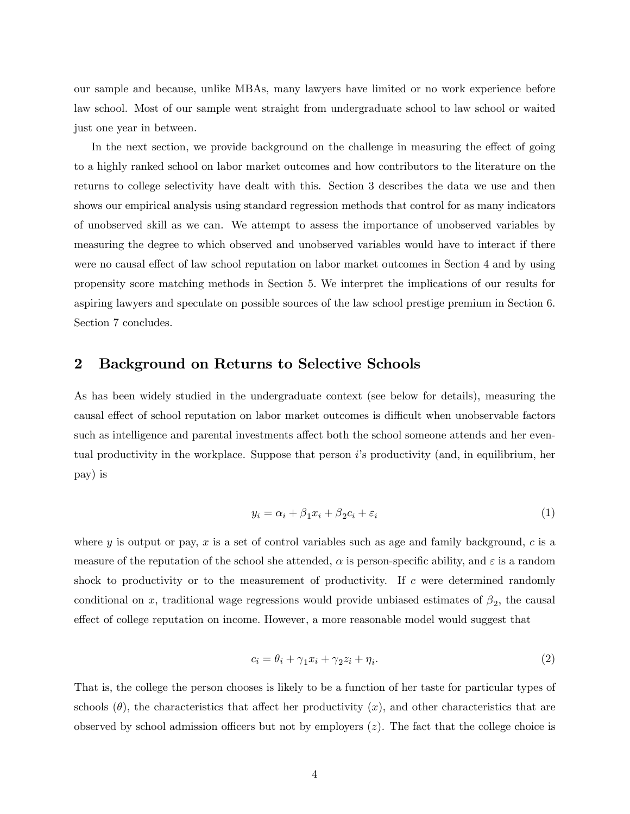our sample and because, unlike MBAs, many lawyers have limited or no work experience before law school. Most of our sample went straight from undergraduate school to law school or waited just one year in between.

In the next section, we provide background on the challenge in measuring the effect of going to a highly ranked school on labor market outcomes and how contributors to the literature on the returns to college selectivity have dealt with this. Section 3 describes the data we use and then shows our empirical analysis using standard regression methods that control for as many indicators of unobserved skill as we can. We attempt to assess the importance of unobserved variables by measuring the degree to which observed and unobserved variables would have to interact if there were no causal effect of law school reputation on labor market outcomes in Section 4 and by using propensity score matching methods in Section 5. We interpret the implications of our results for aspiring lawyers and speculate on possible sources of the law school prestige premium in Section 6. Section 7 concludes.

## 2 Background on Returns to Selective Schools

As has been widely studied in the undergraduate context (see below for details), measuring the causal effect of school reputation on labor market outcomes is difficult when unobservable factors such as intelligence and parental investments affect both the school someone attends and her eventual productivity in the workplace. Suppose that person  $i$ 's productivity (and, in equilibrium, her pay) is

$$
y_i = \alpha_i + \beta_1 x_i + \beta_2 c_i + \varepsilon_i \tag{1}
$$

where y is output or pay, x is a set of control variables such as age and family background,  $c$  is a measure of the reputation of the school she attended,  $\alpha$  is person-specific ability, and  $\varepsilon$  is a random shock to productivity or to the measurement of productivity. If  $c$  were determined randomly conditional on x, traditional wage regressions would provide unbiased estimates of  $\beta_2$ , the causal effect of college reputation on income. However, a more reasonable model would suggest that

$$
c_i = \theta_i + \gamma_1 x_i + \gamma_2 z_i + \eta_i. \tag{2}
$$

That is, the college the person chooses is likely to be a function of her taste for particular types of schools  $(\theta)$ , the characteristics that affect her productivity  $(x)$ , and other characteristics that are observed by school admission officers but not by employers  $(z)$ . The fact that the college choice is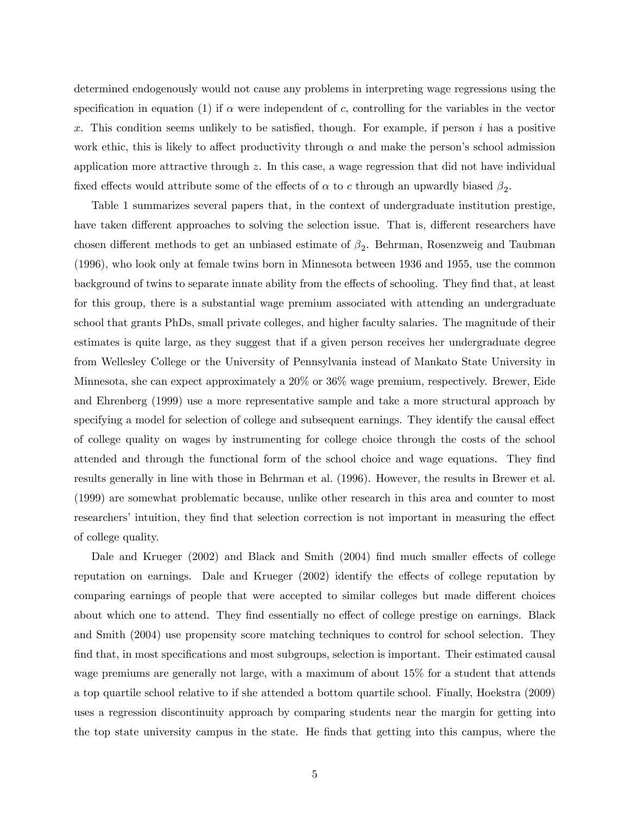determined endogenously would not cause any problems in interpreting wage regressions using the specification in equation (1) if  $\alpha$  were independent of c, controlling for the variables in the vector x. This condition seems unlikely to be satisfied, though. For example, if person i has a positive work ethic, this is likely to affect productivity through  $\alpha$  and make the person's school admission application more attractive through z. In this case, a wage regression that did not have individual fixed effects would attribute some of the effects of  $\alpha$  to c through an upwardly biased  $\beta_2$ .

Table 1 summarizes several papers that, in the context of undergraduate institution prestige, have taken different approaches to solving the selection issue. That is, different researchers have chosen different methods to get an unbiased estimate of  $\beta_2$ . Behrman, Rosenzweig and Taubman (1996), who look only at female twins born in Minnesota between 1936 and 1955, use the common background of twins to separate innate ability from the effects of schooling. They find that, at least for this group, there is a substantial wage premium associated with attending an undergraduate school that grants PhDs, small private colleges, and higher faculty salaries. The magnitude of their estimates is quite large, as they suggest that if a given person receives her undergraduate degree from Wellesley College or the University of Pennsylvania instead of Mankato State University in Minnesota, she can expect approximately a 20% or 36% wage premium, respectively. Brewer, Eide and Ehrenberg (1999) use a more representative sample and take a more structural approach by specifying a model for selection of college and subsequent earnings. They identify the causal effect of college quality on wages by instrumenting for college choice through the costs of the school attended and through the functional form of the school choice and wage equations. They Önd results generally in line with those in Behrman et al. (1996). However, the results in Brewer et al. (1999) are somewhat problematic because, unlike other research in this area and counter to most researchers' intuition, they find that selection correction is not important in measuring the effect of college quality.

Dale and Krueger  $(2002)$  and Black and Smith  $(2004)$  find much smaller effects of college reputation on earnings. Dale and Krueger  $(2002)$  identify the effects of college reputation by comparing earnings of people that were accepted to similar colleges but made different choices about which one to attend. They find essentially no effect of college prestige on earnings. Black and Smith (2004) use propensity score matching techniques to control for school selection. They find that, in most specifications and most subgroups, selection is important. Their estimated causal wage premiums are generally not large, with a maximum of about 15% for a student that attends a top quartile school relative to if she attended a bottom quartile school. Finally, Hoekstra (2009) uses a regression discontinuity approach by comparing students near the margin for getting into the top state university campus in the state. He Önds that getting into this campus, where the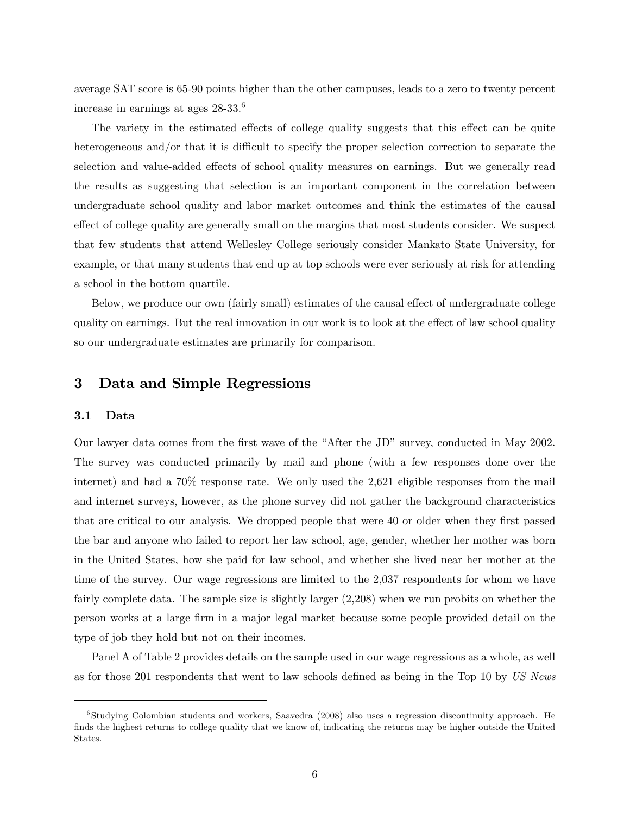average SAT score is 65-90 points higher than the other campuses, leads to a zero to twenty percent increase in earnings at ages 28-33.<sup>6</sup>

The variety in the estimated effects of college quality suggests that this effect can be quite heterogeneous and/or that it is difficult to specify the proper selection correction to separate the selection and value-added effects of school quality measures on earnings. But we generally read the results as suggesting that selection is an important component in the correlation between undergraduate school quality and labor market outcomes and think the estimates of the causal effect of college quality are generally small on the margins that most students consider. We suspect that few students that attend Wellesley College seriously consider Mankato State University, for example, or that many students that end up at top schools were ever seriously at risk for attending a school in the bottom quartile.

Below, we produce our own (fairly small) estimates of the causal effect of undergraduate college quality on earnings. But the real innovation in our work is to look at the effect of law school quality so our undergraduate estimates are primarily for comparison.

# 3 Data and Simple Regressions

### 3.1 Data

Our lawyer data comes from the first wave of the "After the JD" survey, conducted in May 2002. The survey was conducted primarily by mail and phone (with a few responses done over the internet) and had a 70% response rate. We only used the 2,621 eligible responses from the mail and internet surveys, however, as the phone survey did not gather the background characteristics that are critical to our analysis. We dropped people that were 40 or older when they first passed the bar and anyone who failed to report her law school, age, gender, whether her mother was born in the United States, how she paid for law school, and whether she lived near her mother at the time of the survey. Our wage regressions are limited to the 2,037 respondents for whom we have fairly complete data. The sample size is slightly larger (2,208) when we run probits on whether the person works at a large Örm in a major legal market because some people provided detail on the type of job they hold but not on their incomes.

Panel A of Table 2 provides details on the sample used in our wage regressions as a whole, as well as for those 201 respondents that went to law schools defined as being in the Top 10 by US News

<sup>6</sup> Studying Colombian students and workers, Saavedra (2008) also uses a regression discontinuity approach. He finds the highest returns to college quality that we know of, indicating the returns may be higher outside the United States.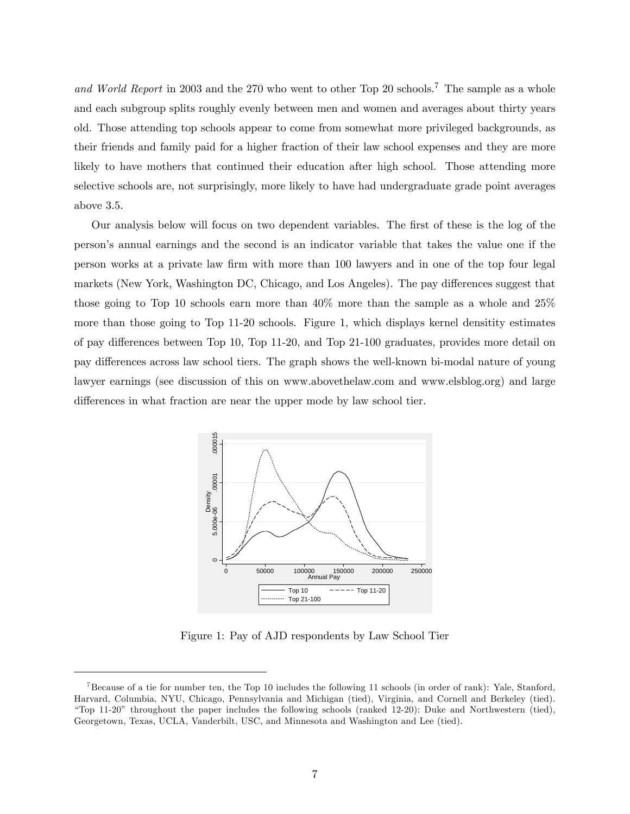and World Report in 2003 and the 270 who went to other Top 20 schools.<sup>7</sup> The sample as a whole and each subgroup splits roughly evenly between men and women and averages about thirty years old. Those attending top schools appear to come from somewhat more privileged backgrounds, as their friends and family paid for a higher fraction of their law school expenses and they are more likely to have mothers that continued their education after high school. Those attending more selective schools are, not surprisingly, more likely to have had undergraduate grade point averages above 3.5.

Our analysis below will focus on two dependent variables. The first of these is the log of the personís annual earnings and the second is an indicator variable that takes the value one if the person works at a private law Örm with more than 100 lawyers and in one of the top four legal markets (New York, Washington DC, Chicago, and Los Angeles). The pay differences suggest that those going to Top 10 schools earn more than 40% more than the sample as a whole and 25% more than those going to Top 11-20 schools. Figure 1, which displays kernel densitity estimates of pay differences between Top 10, Top 11-20, and Top 21-100 graduates, provides more detail on pay differences across law school tiers. The graph shows the well-known bi-modal nature of young lawyer earnings (see discussion of this on www.abovethelaw.com and www.elsblog.org) and large differences in what fraction are near the upper mode by law school tier.



Figure 1: Pay of AJD respondents by Law School Tier

<sup>&</sup>lt;sup>7</sup>Because of a tie for number ten, the Top 10 includes the following 11 schools (in order of rank): Yale, Stanford, Harvard, Columbia, NYU, Chicago, Pennsylvania and Michigan (tied), Virginia, and Cornell and Berkeley (tied). ìTop 11-20î throughout the paper includes the following schools (ranked 12-20): Duke and Northwestern (tied), Georgetown, Texas, UCLA, Vanderbilt, USC, and Minnesota and Washington and Lee (tied).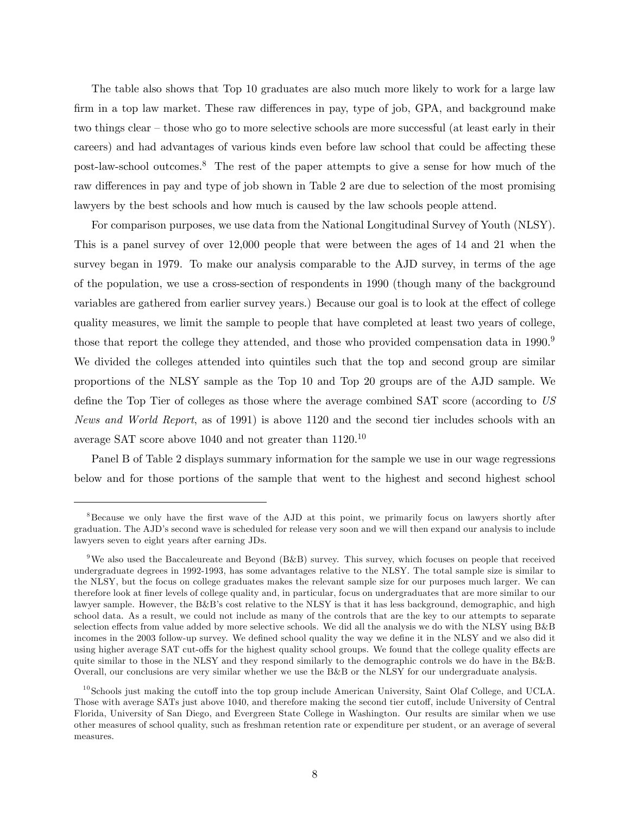The table also shows that Top 10 graduates are also much more likely to work for a large law firm in a top law market. These raw differences in pay, type of job, GPA, and background make two things clear  $-\theta$  those who go to more selective schools are more successful (at least early in their careers) and had advantages of various kinds even before law school that could be affecting these post-law-school outcomes.<sup>8</sup> The rest of the paper attempts to give a sense for how much of the raw differences in pay and type of job shown in Table 2 are due to selection of the most promising lawyers by the best schools and how much is caused by the law schools people attend.

For comparison purposes, we use data from the National Longitudinal Survey of Youth (NLSY). This is a panel survey of over 12,000 people that were between the ages of 14 and 21 when the survey began in 1979. To make our analysis comparable to the AJD survey, in terms of the age of the population, we use a cross-section of respondents in 1990 (though many of the background variables are gathered from earlier survey years.) Because our goal is to look at the effect of college quality measures, we limit the sample to people that have completed at least two years of college, those that report the college they attended, and those who provided compensation data in 1990.<sup>9</sup> We divided the colleges attended into quintiles such that the top and second group are similar proportions of the NLSY sample as the Top 10 and Top 20 groups are of the AJD sample. We define the Top Tier of colleges as those where the average combined SAT score (according to US News and World Report, as of 1991) is above 1120 and the second tier includes schools with an average SAT score above 1040 and not greater than 1120.<sup>10</sup>

Panel B of Table 2 displays summary information for the sample we use in our wage regressions below and for those portions of the sample that went to the highest and second highest school

<sup>&</sup>lt;sup>8</sup>Because we only have the first wave of the AJD at this point, we primarily focus on lawyers shortly after graduation. The AJDís second wave is scheduled for release very soon and we will then expand our analysis to include lawyers seven to eight years after earning JDs.

<sup>&</sup>lt;sup>9</sup>We also used the Baccaleureate and Beyond (B&B) survey. This survey, which focuses on people that received undergraduate degrees in 1992-1993, has some advantages relative to the NLSY. The total sample size is similar to the NLSY, but the focus on college graduates makes the relevant sample size for our purposes much larger. We can therefore look at finer levels of college quality and, in particular, focus on undergraduates that are more similar to our lawyer sample. However, the B&B's cost relative to the NLSY is that it has less background, demographic, and high school data. As a result, we could not include as many of the controls that are the key to our attempts to separate selection effects from value added by more selective schools. We did all the analysis we do with the NLSY using  $B\&B$ incomes in the 2003 follow-up survey. We defined school quality the way we define it in the NLSY and we also did it using higher average SAT cut-offs for the highest quality school groups. We found that the college quality effects are quite similar to those in the NLSY and they respond similarly to the demographic controls we do have in the B&B. Overall, our conclusions are very similar whether we use the B&B or the NLSY for our undergraduate analysis.

 $10$ Schools just making the cutoff into the top group include American University, Saint Olaf College, and UCLA. Those with average SATs just above 1040, and therefore making the second tier cutoff, include University of Central Florida, University of San Diego, and Evergreen State College in Washington. Our results are similar when we use other measures of school quality, such as freshman retention rate or expenditure per student, or an average of several measures.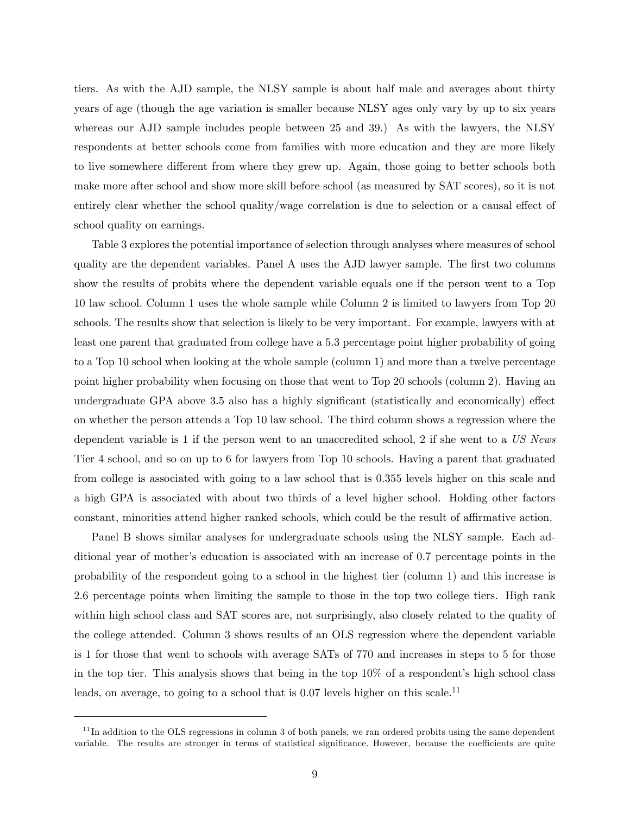tiers. As with the AJD sample, the NLSY sample is about half male and averages about thirty years of age (though the age variation is smaller because NLSY ages only vary by up to six years whereas our AJD sample includes people between 25 and 39.) As with the lawyers, the NLSY respondents at better schools come from families with more education and they are more likely to live somewhere different from where they grew up. Again, those going to better schools both make more after school and show more skill before school (as measured by SAT scores), so it is not entirely clear whether the school quality/wage correlation is due to selection or a causal effect of school quality on earnings.

Table 3 explores the potential importance of selection through analyses where measures of school quality are the dependent variables. Panel A uses the AJD lawyer sample. The first two columns show the results of probits where the dependent variable equals one if the person went to a Top 10 law school. Column 1 uses the whole sample while Column 2 is limited to lawyers from Top 20 schools. The results show that selection is likely to be very important. For example, lawyers with at least one parent that graduated from college have a 5.3 percentage point higher probability of going to a Top 10 school when looking at the whole sample (column 1) and more than a twelve percentage point higher probability when focusing on those that went to Top 20 schools (column 2). Having an undergraduate GPA above 3.5 also has a highly significant (statistically and economically) effect on whether the person attends a Top 10 law school. The third column shows a regression where the dependent variable is 1 if the person went to an unaccredited school, 2 if she went to a US News Tier 4 school, and so on up to 6 for lawyers from Top 10 schools. Having a parent that graduated from college is associated with going to a law school that is 0.355 levels higher on this scale and a high GPA is associated with about two thirds of a level higher school. Holding other factors constant, minorities attend higher ranked schools, which could be the result of affirmative action.

Panel B shows similar analyses for undergraduate schools using the NLSY sample. Each additional year of mother's education is associated with an increase of 0.7 percentage points in the probability of the respondent going to a school in the highest tier (column 1) and this increase is 2.6 percentage points when limiting the sample to those in the top two college tiers. High rank within high school class and SAT scores are, not surprisingly, also closely related to the quality of the college attended. Column 3 shows results of an OLS regression where the dependent variable is 1 for those that went to schools with average SATs of 770 and increases in steps to 5 for those in the top tier. This analysis shows that being in the top  $10\%$  of a respondent's high school class leads, on average, to going to a school that is  $0.07$  levels higher on this scale.<sup>11</sup>

 $11$ In addition to the OLS regressions in column 3 of both panels, we ran ordered probits using the same dependent variable. The results are stronger in terms of statistical significance. However, because the coefficients are quite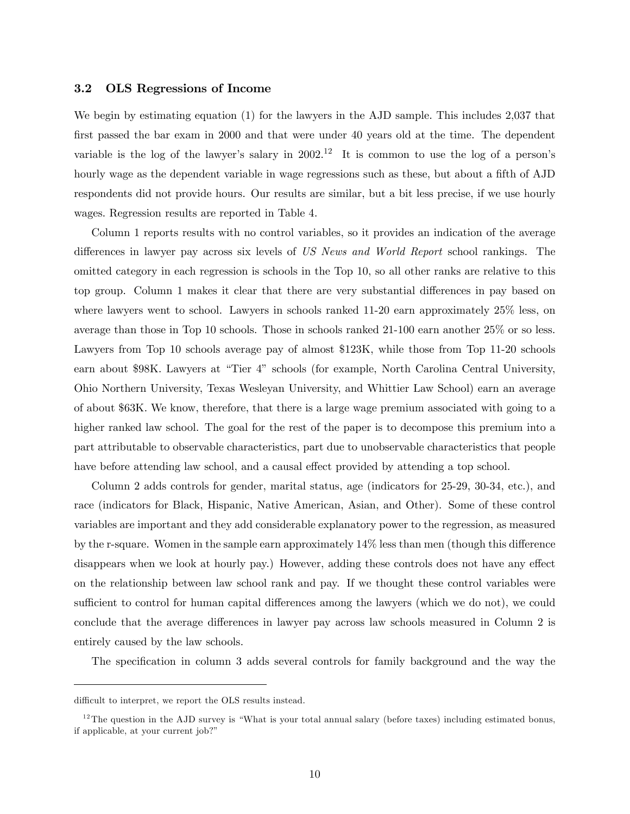#### 3.2 OLS Regressions of Income

We begin by estimating equation (1) for the lawyers in the AJD sample. This includes 2,037 that first passed the bar exam in 2000 and that were under 40 years old at the time. The dependent variable is the log of the lawyer's salary in  $2002<sup>12</sup>$  It is common to use the log of a person's hourly wage as the dependent variable in wage regressions such as these, but about a fifth of AJD respondents did not provide hours. Our results are similar, but a bit less precise, if we use hourly wages. Regression results are reported in Table 4.

Column 1 reports results with no control variables, so it provides an indication of the average differences in lawyer pay across six levels of US News and World Report school rankings. The omitted category in each regression is schools in the Top 10, so all other ranks are relative to this top group. Column 1 makes it clear that there are very substantial differences in pay based on where lawyers went to school. Lawyers in schools ranked 11-20 earn approximately 25% less, on average than those in Top 10 schools. Those in schools ranked 21-100 earn another 25% or so less. Lawyers from Top 10 schools average pay of almost \$123K, while those from Top 11-20 schools earn about \$98K. Lawyers at "Tier 4" schools (for example, North Carolina Central University, Ohio Northern University, Texas Wesleyan University, and Whittier Law School) earn an average of about \$63K. We know, therefore, that there is a large wage premium associated with going to a higher ranked law school. The goal for the rest of the paper is to decompose this premium into a part attributable to observable characteristics, part due to unobservable characteristics that people have before attending law school, and a causal effect provided by attending a top school.

Column 2 adds controls for gender, marital status, age (indicators for 25-29, 30-34, etc.), and race (indicators for Black, Hispanic, Native American, Asian, and Other). Some of these control variables are important and they add considerable explanatory power to the regression, as measured by the r-square. Women in the sample earn approximately  $14\%$  less than men (though this difference disappears when we look at hourly pay.) However, adding these controls does not have any effect on the relationship between law school rank and pay. If we thought these control variables were sufficient to control for human capital differences among the lawyers (which we do not), we could conclude that the average differences in lawyer pay across law schools measured in Column 2 is entirely caused by the law schools.

The specification in column 3 adds several controls for family background and the way the

difficult to interpret, we report the OLS results instead.

 $12$ The question in the AJD survey is "What is your total annual salary (before taxes) including estimated bonus, if applicable, at your current job?"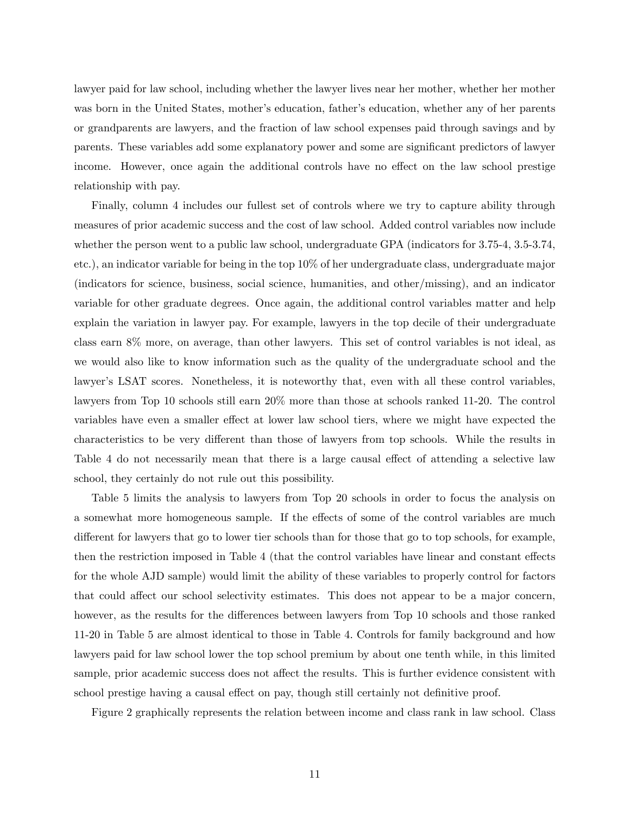lawyer paid for law school, including whether the lawyer lives near her mother, whether her mother was born in the United States, mother's education, father's education, whether any of her parents or grandparents are lawyers, and the fraction of law school expenses paid through savings and by parents. These variables add some explanatory power and some are significant predictors of lawyer income. However, once again the additional controls have no effect on the law school prestige relationship with pay.

Finally, column 4 includes our fullest set of controls where we try to capture ability through measures of prior academic success and the cost of law school. Added control variables now include whether the person went to a public law school, undergraduate GPA (indicators for 3.75-4, 3.5-3.74, etc.), an indicator variable for being in the top 10% of her undergraduate class, undergraduate major (indicators for science, business, social science, humanities, and other/missing), and an indicator variable for other graduate degrees. Once again, the additional control variables matter and help explain the variation in lawyer pay. For example, lawyers in the top decile of their undergraduate class earn 8% more, on average, than other lawyers. This set of control variables is not ideal, as we would also like to know information such as the quality of the undergraduate school and the lawyer's LSAT scores. Nonetheless, it is noteworthy that, even with all these control variables, lawyers from Top 10 schools still earn 20% more than those at schools ranked 11-20. The control variables have even a smaller effect at lower law school tiers, where we might have expected the characteristics to be very different than those of lawyers from top schools. While the results in Table 4 do not necessarily mean that there is a large causal effect of attending a selective law school, they certainly do not rule out this possibility.

Table 5 limits the analysis to lawyers from Top 20 schools in order to focus the analysis on a somewhat more homogeneous sample. If the effects of some of the control variables are much different for lawyers that go to lower tier schools than for those that go to top schools, for example, then the restriction imposed in Table 4 (that the control variables have linear and constant effects for the whole AJD sample) would limit the ability of these variables to properly control for factors that could affect our school selectivity estimates. This does not appear to be a major concern, however, as the results for the differences between lawyers from Top 10 schools and those ranked 11-20 in Table 5 are almost identical to those in Table 4. Controls for family background and how lawyers paid for law school lower the top school premium by about one tenth while, in this limited sample, prior academic success does not affect the results. This is further evidence consistent with school prestige having a causal effect on pay, though still certainly not definitive proof.

Figure 2 graphically represents the relation between income and class rank in law school. Class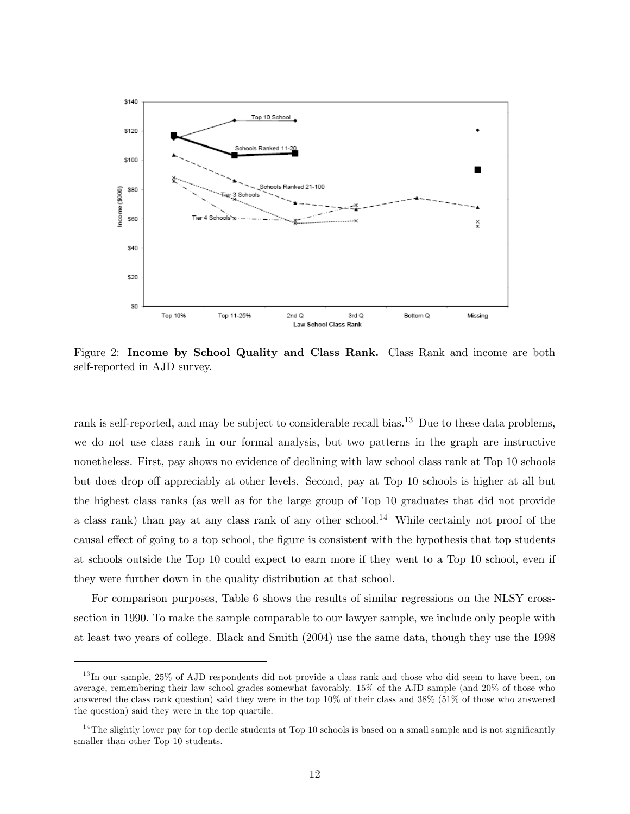

Figure 2: Income by School Quality and Class Rank. Class Rank and income are both self-reported in AJD survey.

rank is self-reported, and may be subject to considerable recall bias.<sup>13</sup> Due to these data problems, we do not use class rank in our formal analysis, but two patterns in the graph are instructive nonetheless. First, pay shows no evidence of declining with law school class rank at Top 10 schools but does drop off appreciably at other levels. Second, pay at Top 10 schools is higher at all but the highest class ranks (as well as for the large group of Top 10 graduates that did not provide a class rank) than pay at any class rank of any other school.<sup>14</sup> While certainly not proof of the causal effect of going to a top school, the figure is consistent with the hypothesis that top students at schools outside the Top 10 could expect to earn more if they went to a Top 10 school, even if they were further down in the quality distribution at that school.

For comparison purposes, Table 6 shows the results of similar regressions on the NLSY crosssection in 1990. To make the sample comparable to our lawyer sample, we include only people with at least two years of college. Black and Smith (2004) use the same data, though they use the 1998

 $^{13}$ In our sample, 25% of AJD respondents did not provide a class rank and those who did seem to have been, on average, remembering their law school grades somewhat favorably. 15% of the AJD sample (and 20% of those who answered the class rank question) said they were in the top 10% of their class and 38% (51% of those who answered the question) said they were in the top quartile.

<sup>&</sup>lt;sup>14</sup>The slightly lower pay for top decile students at Top 10 schools is based on a small sample and is not significantly smaller than other Top 10 students.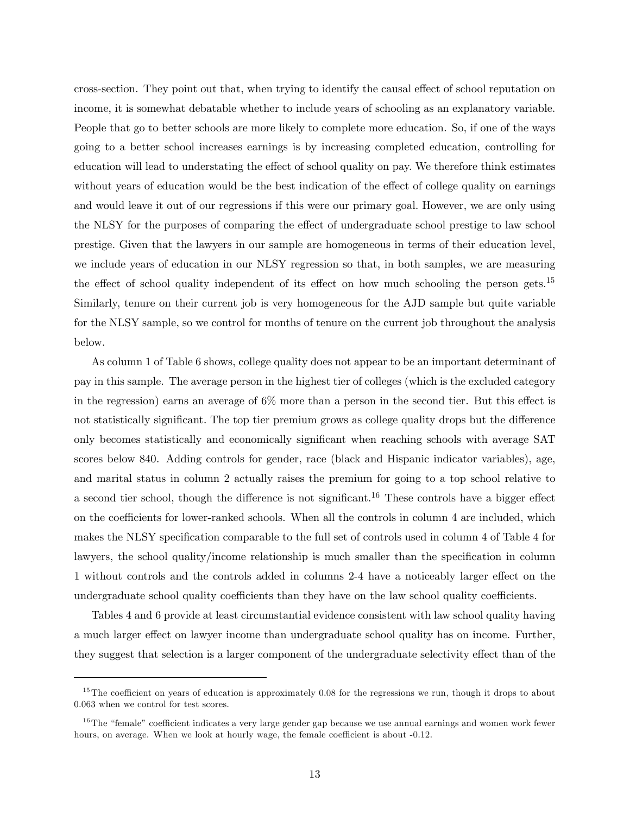cross-section. They point out that, when trying to identify the causal effect of school reputation on income, it is somewhat debatable whether to include years of schooling as an explanatory variable. People that go to better schools are more likely to complete more education. So, if one of the ways going to a better school increases earnings is by increasing completed education, controlling for education will lead to understating the effect of school quality on pay. We therefore think estimates without years of education would be the best indication of the effect of college quality on earnings and would leave it out of our regressions if this were our primary goal. However, we are only using the NLSY for the purposes of comparing the effect of undergraduate school prestige to law school prestige. Given that the lawyers in our sample are homogeneous in terms of their education level, we include years of education in our NLSY regression so that, in both samples, we are measuring the effect of school quality independent of its effect on how much schooling the person gets.<sup>15</sup> Similarly, tenure on their current job is very homogeneous for the AJD sample but quite variable for the NLSY sample, so we control for months of tenure on the current job throughout the analysis below.

As column 1 of Table 6 shows, college quality does not appear to be an important determinant of pay in this sample. The average person in the highest tier of colleges (which is the excluded category in the regression) earns an average of  $6\%$  more than a person in the second tier. But this effect is not statistically significant. The top tier premium grows as college quality drops but the difference only becomes statistically and economically significant when reaching schools with average SAT scores below 840. Adding controls for gender, race (black and Hispanic indicator variables), age, and marital status in column 2 actually raises the premium for going to a top school relative to a second tier school, though the difference is not significant.<sup>16</sup> These controls have a bigger effect on the coefficients for lower-ranked schools. When all the controls in column 4 are included, which makes the NLSY specification comparable to the full set of controls used in column 4 of Table 4 for lawyers, the school quality/income relationship is much smaller than the specification in column 1 without controls and the controls added in columns 2-4 have a noticeably larger effect on the undergraduate school quality coefficients than they have on the law school quality coefficients.

Tables 4 and 6 provide at least circumstantial evidence consistent with law school quality having a much larger effect on lawyer income than undergraduate school quality has on income. Further, they suggest that selection is a larger component of the undergraduate selectivity effect than of the

 $15$ The coefficient on years of education is approximately 0.08 for the regressions we run, though it drops to about 0.063 when we control for test scores.

 $16$ The "female" coefficient indicates a very large gender gap because we use annual earnings and women work fewer hours, on average. When we look at hourly wage, the female coefficient is about -0.12.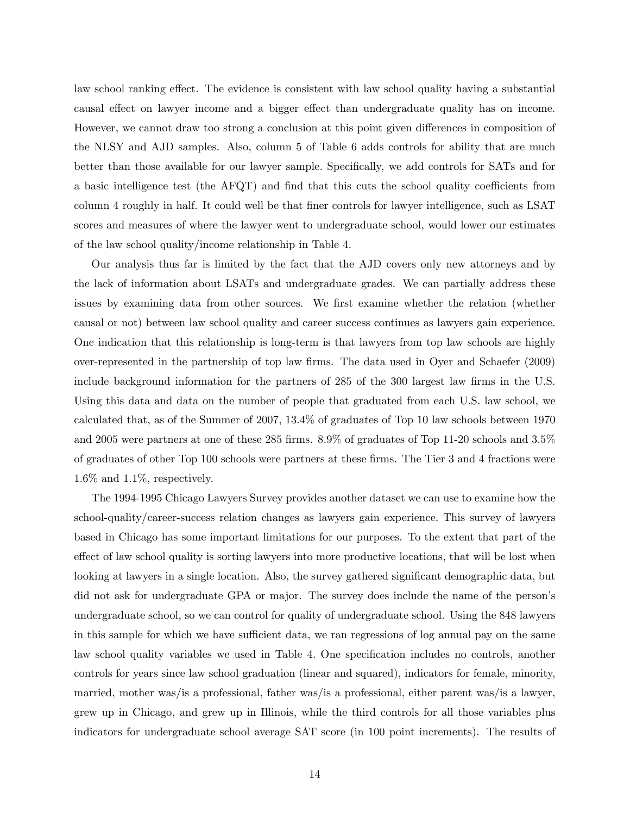law school ranking effect. The evidence is consistent with law school quality having a substantial causal effect on lawyer income and a bigger effect than undergraduate quality has on income. However, we cannot draw too strong a conclusion at this point given differences in composition of the NLSY and AJD samples. Also, column 5 of Table 6 adds controls for ability that are much better than those available for our lawyer sample. Specifically, we add controls for SATs and for a basic intelligence test (the AFQT) and find that this cuts the school quality coefficients from column 4 roughly in half. It could well be that finer controls for lawyer intelligence, such as LSAT scores and measures of where the lawyer went to undergraduate school, would lower our estimates of the law school quality/income relationship in Table 4.

Our analysis thus far is limited by the fact that the AJD covers only new attorneys and by the lack of information about LSATs and undergraduate grades. We can partially address these issues by examining data from other sources. We first examine whether the relation (whether causal or not) between law school quality and career success continues as lawyers gain experience. One indication that this relationship is long-term is that lawyers from top law schools are highly over-represented in the partnership of top law Örms. The data used in Oyer and Schaefer (2009) include background information for the partners of 285 of the 300 largest law firms in the U.S. Using this data and data on the number of people that graduated from each U.S. law school, we calculated that, as of the Summer of 2007, 13.4% of graduates of Top 10 law schools between 1970 and 2005 were partners at one of these 285 firms. 8.9% of graduates of Top 11-20 schools and 3.5% of graduates of other Top 100 schools were partners at these firms. The Tier 3 and 4 fractions were 1.6% and 1.1%, respectively.

The 1994-1995 Chicago Lawyers Survey provides another dataset we can use to examine how the school-quality/career-success relation changes as lawyers gain experience. This survey of lawyers based in Chicago has some important limitations for our purposes. To the extent that part of the effect of law school quality is sorting lawyers into more productive locations, that will be lost when looking at lawyers in a single location. Also, the survey gathered significant demographic data, but did not ask for undergraduate GPA or major. The survey does include the name of the person's undergraduate school, so we can control for quality of undergraduate school. Using the 848 lawyers in this sample for which we have sufficient data, we ran regressions of log annual pay on the same law school quality variables we used in Table 4. One specification includes no controls, another controls for years since law school graduation (linear and squared), indicators for female, minority, married, mother was/is a professional, father was/is a professional, either parent was/is a lawyer, grew up in Chicago, and grew up in Illinois, while the third controls for all those variables plus indicators for undergraduate school average SAT score (in 100 point increments). The results of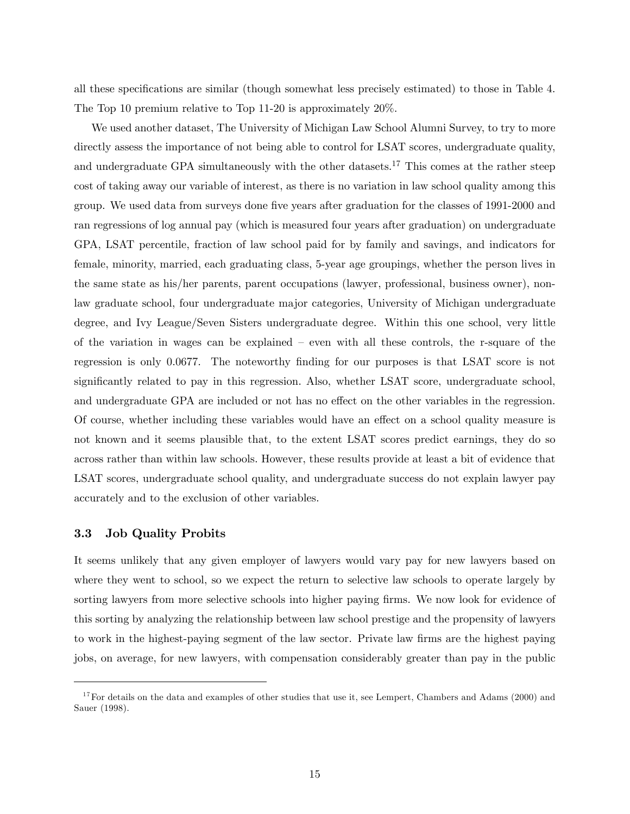all these specifications are similar (though somewhat less precisely estimated) to those in Table 4. The Top 10 premium relative to Top 11-20 is approximately 20%.

We used another dataset, The University of Michigan Law School Alumni Survey, to try to more directly assess the importance of not being able to control for LSAT scores, undergraduate quality, and undergraduate GPA simultaneously with the other datasets.<sup>17</sup> This comes at the rather steep cost of taking away our variable of interest, as there is no variation in law school quality among this group. We used data from surveys done five years after graduation for the classes of 1991-2000 and ran regressions of log annual pay (which is measured four years after graduation) on undergraduate GPA, LSAT percentile, fraction of law school paid for by family and savings, and indicators for female, minority, married, each graduating class, 5-year age groupings, whether the person lives in the same state as his/her parents, parent occupations (lawyer, professional, business owner), nonlaw graduate school, four undergraduate major categories, University of Michigan undergraduate degree, and Ivy League/Seven Sisters undergraduate degree. Within this one school, very little of the variation in wages can be explained  $-$  even with all these controls, the r-square of the regression is only 0.0677. The noteworthy finding for our purposes is that LSAT score is not significantly related to pay in this regression. Also, whether LSAT score, undergraduate school, and undergraduate GPA are included or not has no effect on the other variables in the regression. Of course, whether including these variables would have an effect on a school quality measure is not known and it seems plausible that, to the extent LSAT scores predict earnings, they do so across rather than within law schools. However, these results provide at least a bit of evidence that LSAT scores, undergraduate school quality, and undergraduate success do not explain lawyer pay accurately and to the exclusion of other variables.

#### 3.3 Job Quality Probits

It seems unlikely that any given employer of lawyers would vary pay for new lawyers based on where they went to school, so we expect the return to selective law schools to operate largely by sorting lawyers from more selective schools into higher paying firms. We now look for evidence of this sorting by analyzing the relationship between law school prestige and the propensity of lawyers to work in the highest-paying segment of the law sector. Private law firms are the highest paying jobs, on average, for new lawyers, with compensation considerably greater than pay in the public

<sup>&</sup>lt;sup>17</sup> For details on the data and examples of other studies that use it, see Lempert, Chambers and Adams (2000) and Sauer (1998).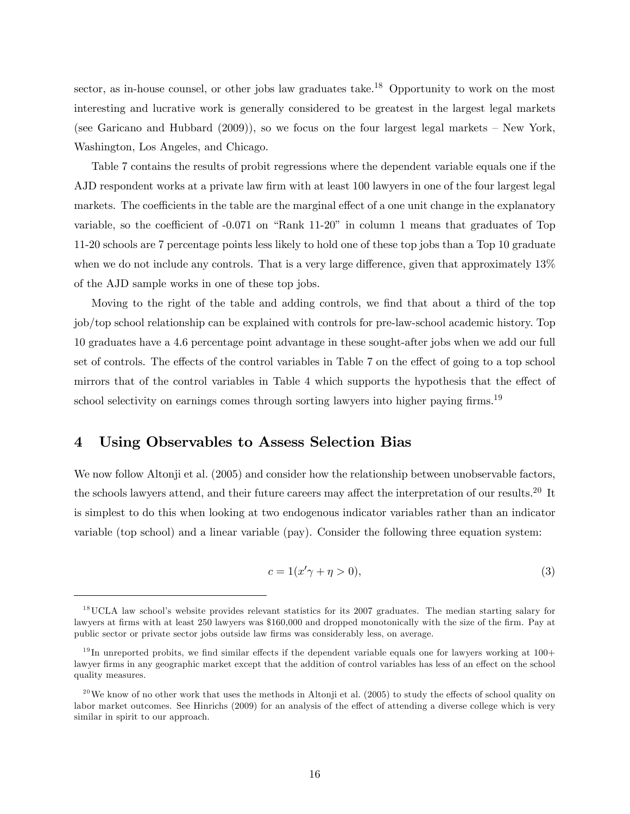sector, as in-house counsel, or other jobs law graduates take.<sup>18</sup> Opportunity to work on the most interesting and lucrative work is generally considered to be greatest in the largest legal markets (see Garicano and Hubbard  $(2009)$ ), so we focus on the four largest legal markets – New York, Washington, Los Angeles, and Chicago.

Table 7 contains the results of probit regressions where the dependent variable equals one if the AJD respondent works at a private law firm with at least 100 lawyers in one of the four largest legal markets. The coefficients in the table are the marginal effect of a one unit change in the explanatory variable, so the coefficient of  $-0.071$  on "Rank 11-20" in column 1 means that graduates of Top 11-20 schools are 7 percentage points less likely to hold one of these top jobs than a Top 10 graduate when we do not include any controls. That is a very large difference, given that approximately  $13\%$ of the AJD sample works in one of these top jobs.

Moving to the right of the table and adding controls, we find that about a third of the top job/top school relationship can be explained with controls for pre-law-school academic history. Top 10 graduates have a 4.6 percentage point advantage in these sought-after jobs when we add our full set of controls. The effects of the control variables in Table 7 on the effect of going to a top school mirrors that of the control variables in Table 4 which supports the hypothesis that the effect of school selectivity on earnings comes through sorting lawyers into higher paying firms.<sup>19</sup>

## 4 Using Observables to Assess Selection Bias

We now follow Altonji et al. (2005) and consider how the relationship between unobservable factors, the schools lawyers attend, and their future careers may affect the interpretation of our results.<sup>20</sup> It is simplest to do this when looking at two endogenous indicator variables rather than an indicator variable (top school) and a linear variable (pay). Consider the following three equation system:

$$
c = 1(x'\gamma + \eta > 0),\tag{3}
$$

 $18$ UCLA law school's website provides relevant statistics for its 2007 graduates. The median starting salary for lawyers at firms with at least 250 lawyers was \$160,000 and dropped monotonically with the size of the firm. Pay at public sector or private sector jobs outside law Örms was considerably less, on average.

 $19$ In unreported probits, we find similar effects if the dependent variable equals one for lawyers working at  $100+$ lawyer firms in any geographic market except that the addition of control variables has less of an effect on the school quality measures.

 $^{20}$ We know of no other work that uses the methods in Altonji et al. (2005) to study the effects of school quality on labor market outcomes. See Hinrichs (2009) for an analysis of the effect of attending a diverse college which is very similar in spirit to our approach.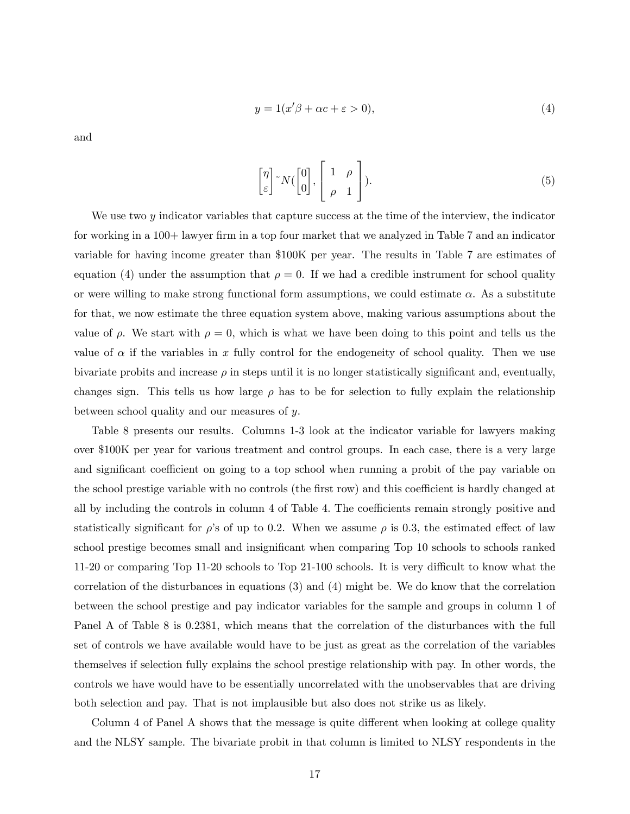$$
y = 1(x'\beta + \alpha c + \varepsilon > 0),\tag{4}
$$

and

$$
\eta \bigg[ ^{\gamma} N \big( \begin{bmatrix} 0 \\ 0 \end{bmatrix}, \begin{bmatrix} 1 & \rho \\ \rho & 1 \end{bmatrix} \big).
$$
 (5)

We use two y indicator variables that capture success at the time of the interview, the indicator for working in a 100+ lawyer firm in a top four market that we analyzed in Table 7 and an indicator variable for having income greater than \$100K per year. The results in Table 7 are estimates of equation (4) under the assumption that  $\rho = 0$ . If we had a credible instrument for school quality or were willing to make strong functional form assumptions, we could estimate  $\alpha$ . As a substitute for that, we now estimate the three equation system above, making various assumptions about the value of  $\rho$ . We start with  $\rho = 0$ , which is what we have been doing to this point and tells us the value of  $\alpha$  if the variables in x fully control for the endogeneity of school quality. Then we use bivariate probits and increase  $\rho$  in steps until it is no longer statistically significant and, eventually, changes sign. This tells us how large  $\rho$  has to be for selection to fully explain the relationship between school quality and our measures of y.

 $\sqrt{ }$ 

Table 8 presents our results. Columns 1-3 look at the indicator variable for lawyers making over \$100K per year for various treatment and control groups. In each case, there is a very large and significant coefficient on going to a top school when running a probit of the pay variable on the school prestige variable with no controls (the first row) and this coefficient is hardly changed at all by including the controls in column 4 of Table 4. The coefficients remain strongly positive and statistically significant for  $\rho$ 's of up to 0.2. When we assume  $\rho$  is 0.3, the estimated effect of law school prestige becomes small and insignificant when comparing Top 10 schools to schools ranked 11-20 or comparing Top 11-20 schools to Top 21-100 schools. It is very difficult to know what the correlation of the disturbances in equations (3) and (4) might be. We do know that the correlation between the school prestige and pay indicator variables for the sample and groups in column 1 of Panel A of Table 8 is 0.2381, which means that the correlation of the disturbances with the full set of controls we have available would have to be just as great as the correlation of the variables themselves if selection fully explains the school prestige relationship with pay. In other words, the controls we have would have to be essentially uncorrelated with the unobservables that are driving both selection and pay. That is not implausible but also does not strike us as likely.

Column 4 of Panel A shows that the message is quite different when looking at college quality and the NLSY sample. The bivariate probit in that column is limited to NLSY respondents in the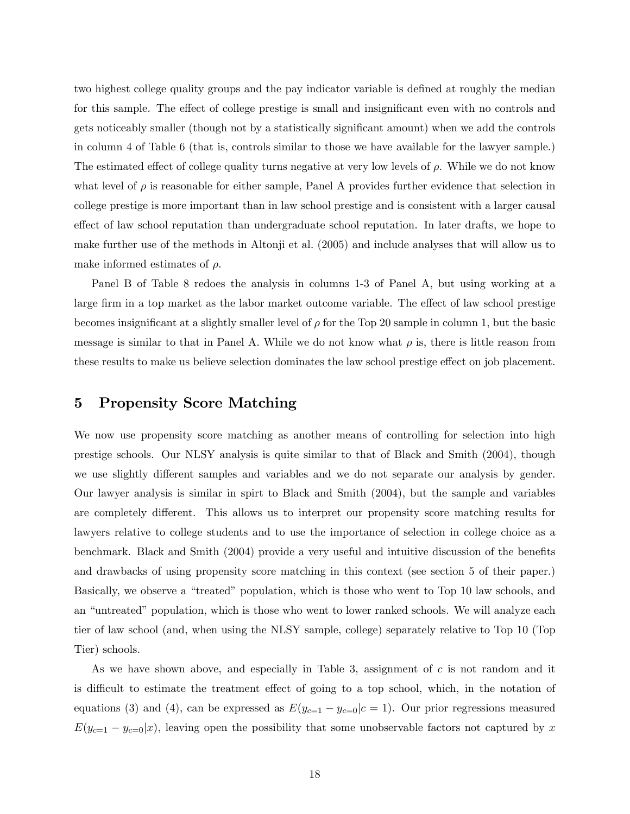two highest college quality groups and the pay indicator variable is defined at roughly the median for this sample. The effect of college prestige is small and insignificant even with no controls and gets noticeably smaller (though not by a statistically significant amount) when we add the controls in column 4 of Table 6 (that is, controls similar to those we have available for the lawyer sample.) The estimated effect of college quality turns negative at very low levels of  $\rho$ . While we do not know what level of  $\rho$  is reasonable for either sample, Panel A provides further evidence that selection in college prestige is more important than in law school prestige and is consistent with a larger causal effect of law school reputation than undergraduate school reputation. In later drafts, we hope to make further use of the methods in Altonji et al. (2005) and include analyses that will allow us to make informed estimates of  $\rho$ .

Panel B of Table 8 redoes the analysis in columns 1-3 of Panel A, but using working at a large firm in a top market as the labor market outcome variable. The effect of law school prestige becomes insignificant at a slightly smaller level of  $\rho$  for the Top 20 sample in column 1, but the basic message is similar to that in Panel A. While we do not know what  $\rho$  is, there is little reason from these results to make us believe selection dominates the law school prestige effect on job placement.

# 5 Propensity Score Matching

We now use propensity score matching as another means of controlling for selection into high prestige schools. Our NLSY analysis is quite similar to that of Black and Smith (2004), though we use slightly different samples and variables and we do not separate our analysis by gender. Our lawyer analysis is similar in spirt to Black and Smith (2004), but the sample and variables are completely different. This allows us to interpret our propensity score matching results for lawyers relative to college students and to use the importance of selection in college choice as a benchmark. Black and Smith (2004) provide a very useful and intuitive discussion of the benefits and drawbacks of using propensity score matching in this context (see section 5 of their paper.) Basically, we observe a "treated" population, which is those who went to Top 10 law schools, and an "untreated" population, which is those who went to lower ranked schools. We will analyze each tier of law school (and, when using the NLSY sample, college) separately relative to Top 10 (Top Tier) schools.

As we have shown above, and especially in Table 3, assignment of  $c$  is not random and it is difficult to estimate the treatment effect of going to a top school, which, in the notation of equations (3) and (4), can be expressed as  $E(y_{c=1} - y_{c=0}|c=1)$ . Our prior regressions measured  $E(y_{c=1} - y_{c=0}|x)$ , leaving open the possibility that some unobservable factors not captured by x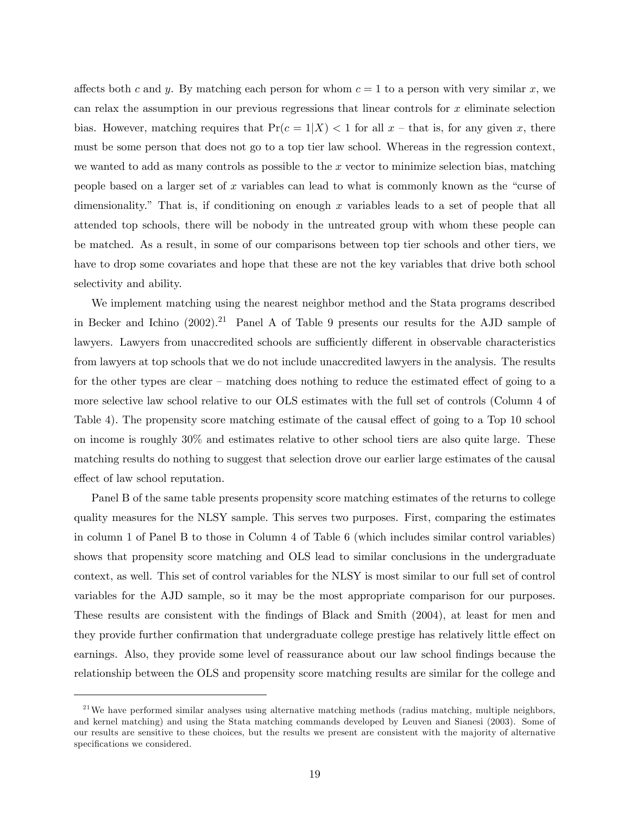affects both c and y. By matching each person for whom  $c = 1$  to a person with very similar x, we can relax the assumption in our previous regressions that linear controls for x eliminate selection bias. However, matching requires that  $Pr(c = 1|X) < 1$  for all  $x$  – that is, for any given x, there must be some person that does not go to a top tier law school. Whereas in the regression context, we wanted to add as many controls as possible to the  $x$  vector to minimize selection bias, matching people based on a larger set of x variables can lead to what is commonly known as the "curse of dimensionality." That is, if conditioning on enough  $x$  variables leads to a set of people that all attended top schools, there will be nobody in the untreated group with whom these people can be matched. As a result, in some of our comparisons between top tier schools and other tiers, we have to drop some covariates and hope that these are not the key variables that drive both school selectivity and ability.

We implement matching using the nearest neighbor method and the Stata programs described in Becker and Ichino  $(2002)$ .<sup>21</sup> Panel A of Table 9 presents our results for the AJD sample of lawyers. Lawyers from unaccredited schools are sufficiently different in observable characteristics from lawyers at top schools that we do not include unaccredited lawyers in the analysis. The results for the other types are clear  $-$  matching does nothing to reduce the estimated effect of going to a more selective law school relative to our OLS estimates with the full set of controls (Column 4 of Table 4). The propensity score matching estimate of the causal effect of going to a Top 10 school on income is roughly 30% and estimates relative to other school tiers are also quite large. These matching results do nothing to suggest that selection drove our earlier large estimates of the causal effect of law school reputation.

Panel B of the same table presents propensity score matching estimates of the returns to college quality measures for the NLSY sample. This serves two purposes. First, comparing the estimates in column 1 of Panel B to those in Column 4 of Table 6 (which includes similar control variables) shows that propensity score matching and OLS lead to similar conclusions in the undergraduate context, as well. This set of control variables for the NLSY is most similar to our full set of control variables for the AJD sample, so it may be the most appropriate comparison for our purposes. These results are consistent with the findings of Black and Smith (2004), at least for men and they provide further confirmation that undergraduate college prestige has relatively little effect on earnings. Also, they provide some level of reassurance about our law school findings because the relationship between the OLS and propensity score matching results are similar for the college and

 $21$ We have performed similar analyses using alternative matching methods (radius matching, multiple neighbors, and kernel matching) and using the Stata matching commands developed by Leuven and Sianesi (2003). Some of our results are sensitive to these choices, but the results we present are consistent with the majority of alternative specifications we considered.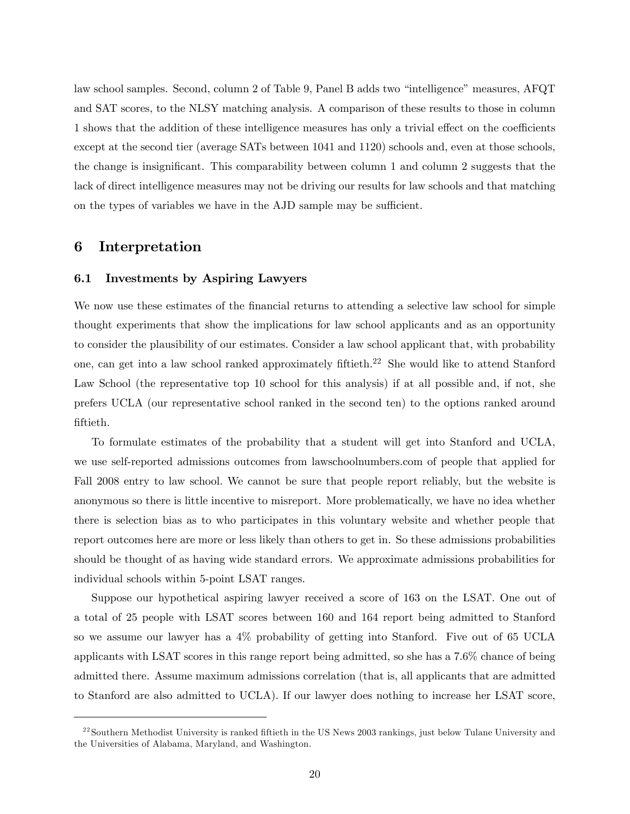law school samples. Second, column 2 of Table 9, Panel B adds two "intelligence" measures, AFQT and SAT scores, to the NLSY matching analysis. A comparison of these results to those in column 1 shows that the addition of these intelligence measures has only a trivial effect on the coefficients except at the second tier (average SATs between 1041 and 1120) schools and, even at those schools, the change is insignificant. This comparability between column 1 and column 2 suggests that the lack of direct intelligence measures may not be driving our results for law schools and that matching on the types of variables we have in the AJD sample may be sufficient.

## 6 Interpretation

### 6.1 Investments by Aspiring Lawyers

We now use these estimates of the financial returns to attending a selective law school for simple thought experiments that show the implications for law school applicants and as an opportunity to consider the plausibility of our estimates. Consider a law school applicant that, with probability one, can get into a law school ranked approximately fiftieth.<sup>22</sup> She would like to attend Stanford Law School (the representative top 10 school for this analysis) if at all possible and, if not, she prefers UCLA (our representative school ranked in the second ten) to the options ranked around fiftieth.

To formulate estimates of the probability that a student will get into Stanford and UCLA, we use self-reported admissions outcomes from lawschoolnumbers.com of people that applied for Fall 2008 entry to law school. We cannot be sure that people report reliably, but the website is anonymous so there is little incentive to misreport. More problematically, we have no idea whether there is selection bias as to who participates in this voluntary website and whether people that report outcomes here are more or less likely than others to get in. So these admissions probabilities should be thought of as having wide standard errors. We approximate admissions probabilities for individual schools within 5-point LSAT ranges.

Suppose our hypothetical aspiring lawyer received a score of 163 on the LSAT. One out of a total of 25 people with LSAT scores between 160 and 164 report being admitted to Stanford so we assume our lawyer has a 4% probability of getting into Stanford. Five out of 65 UCLA applicants with LSAT scores in this range report being admitted, so she has a 7.6% chance of being admitted there. Assume maximum admissions correlation (that is, all applicants that are admitted to Stanford are also admitted to UCLA). If our lawyer does nothing to increase her LSAT score,

 $^{22}$  Southern Methodist University is ranked fiftieth in the US News 2003 rankings, just below Tulane University and the Universities of Alabama, Maryland, and Washington.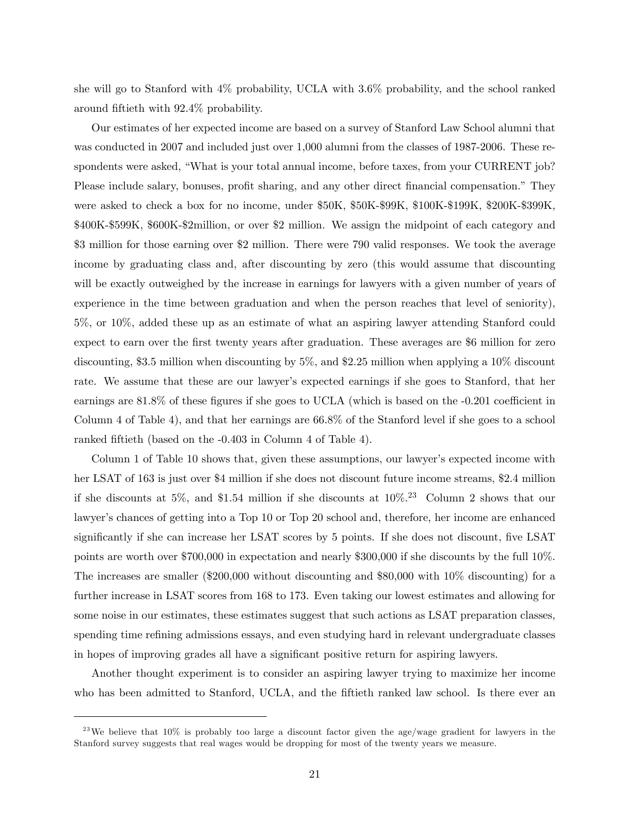she will go to Stanford with 4% probability, UCLA with 3.6% probability, and the school ranked around fiftieth with 92.4% probability.

Our estimates of her expected income are based on a survey of Stanford Law School alumni that was conducted in 2007 and included just over 1,000 alumni from the classes of 1987-2006. These respondents were asked, "What is your total annual income, before taxes, from your CURRENT job? Please include salary, bonuses, profit sharing, and any other direct financial compensation." They were asked to check a box for no income, under \$50K, \$50K-\$99K, \$100K-\$199K, \$200K-\$399K, \$400K-\$599K, \$600K-\$2million, or over \$2 million. We assign the midpoint of each category and \$3 million for those earning over \$2 million. There were 790 valid responses. We took the average income by graduating class and, after discounting by zero (this would assume that discounting will be exactly outweighed by the increase in earnings for lawyers with a given number of years of experience in the time between graduation and when the person reaches that level of seniority), 5%, or 10%, added these up as an estimate of what an aspiring lawyer attending Stanford could expect to earn over the first twenty years after graduation. These averages are \$6 million for zero discounting, \$3.5 million when discounting by 5%, and \$2.25 million when applying a 10% discount rate. We assume that these are our lawyer's expected earnings if she goes to Stanford, that her earnings are  $81.8\%$  of these figures if she goes to UCLA (which is based on the  $-0.201$  coefficient in Column 4 of Table 4), and that her earnings are 66.8% of the Stanford level if she goes to a school ranked fiftieth (based on the -0.403 in Column 4 of Table 4).

Column 1 of Table 10 shows that, given these assumptions, our lawyer's expected income with her LSAT of 163 is just over \$4 million if she does not discount future income streams, \$2.4 million if she discounts at 5%, and \$1.54 million if she discounts at  $10\%$ <sup>23</sup> Column 2 shows that our lawyer's chances of getting into a Top 10 or Top 20 school and, therefore, her income are enhanced significantly if she can increase her LSAT scores by 5 points. If she does not discount, five LSAT points are worth over \$700,000 in expectation and nearly \$300,000 if she discounts by the full 10%. The increases are smaller (\$200,000 without discounting and \$80,000 with 10% discounting) for a further increase in LSAT scores from 168 to 173. Even taking our lowest estimates and allowing for some noise in our estimates, these estimates suggest that such actions as LSAT preparation classes, spending time refining admissions essays, and even studying hard in relevant undergraduate classes in hopes of improving grades all have a significant positive return for aspiring lawyers.

Another thought experiment is to consider an aspiring lawyer trying to maximize her income who has been admitted to Stanford, UCLA, and the fiftieth ranked law school. Is there ever an

<sup>&</sup>lt;sup>23</sup>We believe that 10% is probably too large a discount factor given the age/wage gradient for lawyers in the Stanford survey suggests that real wages would be dropping for most of the twenty years we measure.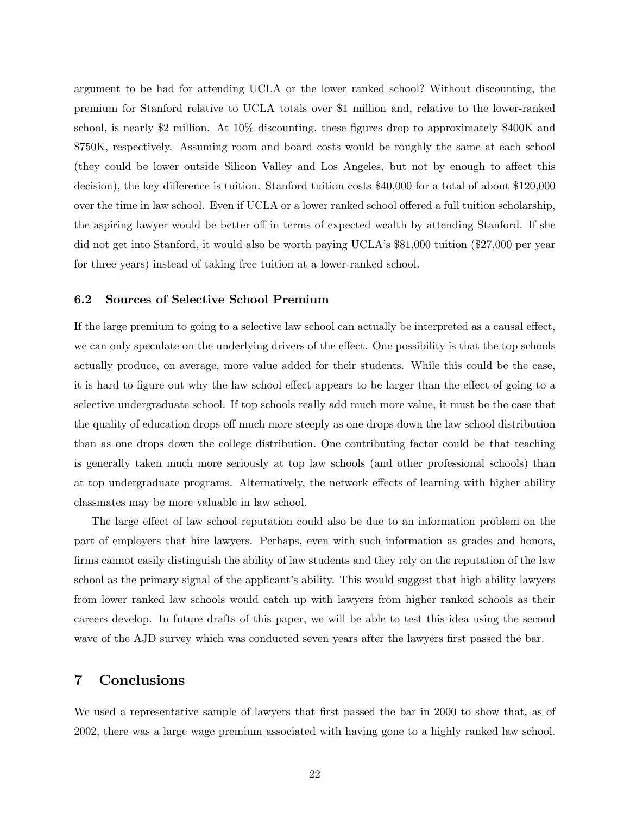argument to be had for attending UCLA or the lower ranked school? Without discounting, the premium for Stanford relative to UCLA totals over \$1 million and, relative to the lower-ranked school, is nearly \$2 million. At 10% discounting, these figures drop to approximately \$400K and \$750K, respectively. Assuming room and board costs would be roughly the same at each school (they could be lower outside Silicon Valley and Los Angeles, but not by enough to affect this decision), the key difference is tuition. Stanford tuition costs \$40,000 for a total of about \$120,000 over the time in law school. Even if UCLA or a lower ranked school offered a full tuition scholarship, the aspiring lawyer would be better off in terms of expected wealth by attending Stanford. If she did not get into Stanford, it would also be worth paying UCLA's \$81,000 tuition (\$27,000 per year for three years) instead of taking free tuition at a lower-ranked school.

## 6.2 Sources of Selective School Premium

If the large premium to going to a selective law school can actually be interpreted as a causal effect, we can only speculate on the underlying drivers of the effect. One possibility is that the top schools actually produce, on average, more value added for their students. While this could be the case, it is hard to figure out why the law school effect appears to be larger than the effect of going to a selective undergraduate school. If top schools really add much more value, it must be the case that the quality of education drops off much more steeply as one drops down the law school distribution than as one drops down the college distribution. One contributing factor could be that teaching is generally taken much more seriously at top law schools (and other professional schools) than at top undergraduate programs. Alternatively, the network effects of learning with higher ability classmates may be more valuable in law school.

The large effect of law school reputation could also be due to an information problem on the part of employers that hire lawyers. Perhaps, even with such information as grades and honors, firms cannot easily distinguish the ability of law students and they rely on the reputation of the law school as the primary signal of the applicant's ability. This would suggest that high ability lawyers from lower ranked law schools would catch up with lawyers from higher ranked schools as their careers develop. In future drafts of this paper, we will be able to test this idea using the second wave of the AJD survey which was conducted seven years after the lawyers first passed the bar.

# 7 Conclusions

We used a representative sample of lawyers that first passed the bar in 2000 to show that, as of 2002, there was a large wage premium associated with having gone to a highly ranked law school.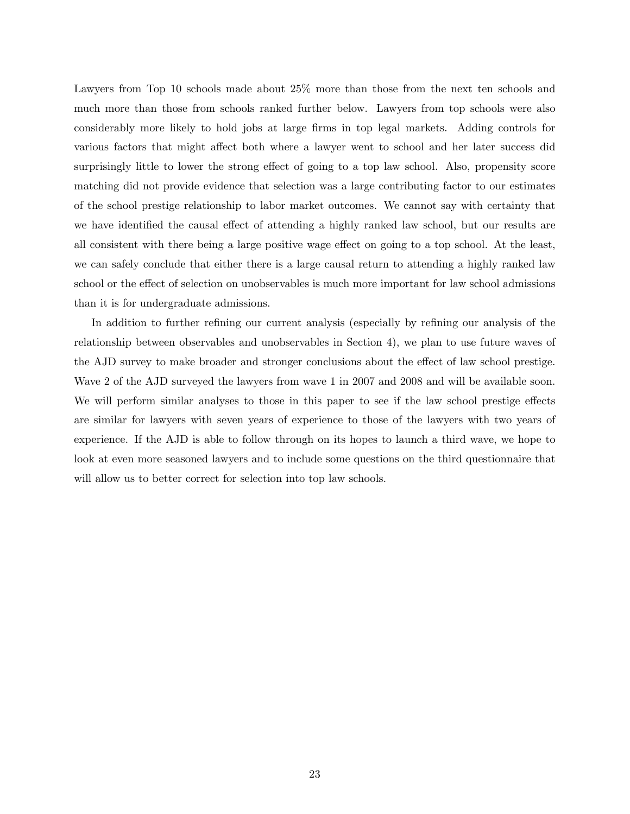Lawyers from Top 10 schools made about  $25\%$  more than those from the next ten schools and much more than those from schools ranked further below. Lawyers from top schools were also considerably more likely to hold jobs at large Örms in top legal markets. Adding controls for various factors that might affect both where a lawyer went to school and her later success did surprisingly little to lower the strong effect of going to a top law school. Also, propensity score matching did not provide evidence that selection was a large contributing factor to our estimates of the school prestige relationship to labor market outcomes. We cannot say with certainty that we have identified the causal effect of attending a highly ranked law school, but our results are all consistent with there being a large positive wage effect on going to a top school. At the least, we can safely conclude that either there is a large causal return to attending a highly ranked law school or the effect of selection on unobservables is much more important for law school admissions than it is for undergraduate admissions.

In addition to further refining our current analysis (especially by refining our analysis of the relationship between observables and unobservables in Section 4), we plan to use future waves of the AJD survey to make broader and stronger conclusions about the effect of law school prestige. Wave 2 of the AJD surveyed the lawyers from wave 1 in 2007 and 2008 and will be available soon. We will perform similar analyses to those in this paper to see if the law school prestige effects are similar for lawyers with seven years of experience to those of the lawyers with two years of experience. If the AJD is able to follow through on its hopes to launch a third wave, we hope to look at even more seasoned lawyers and to include some questions on the third questionnaire that will allow us to better correct for selection into top law schools.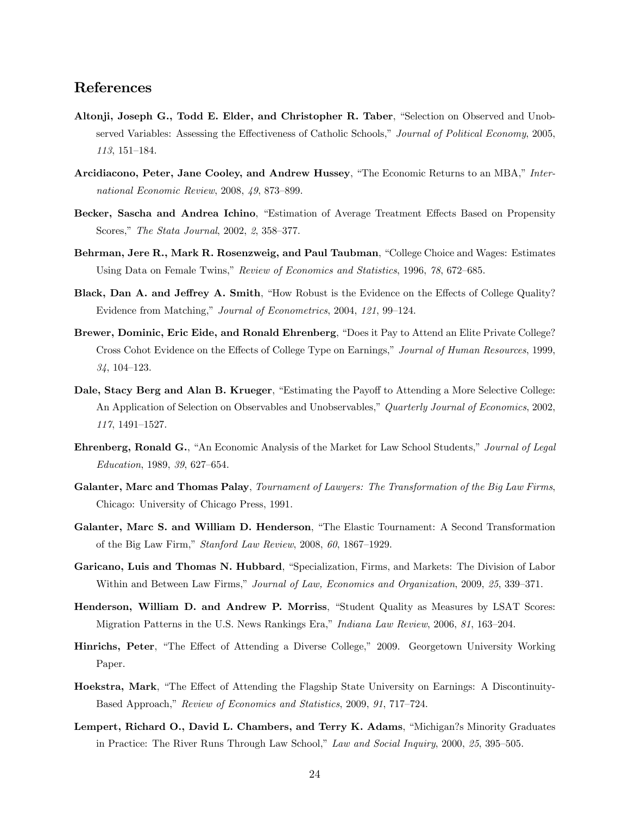# References

- Altonji, Joseph G., Todd E. Elder, and Christopher R. Taber, "Selection on Observed and Unobserved Variables: Assessing the Effectiveness of Catholic Schools," Journal of Political Economy, 2005, 113, 151-184.
- Arcidiacono, Peter, Jane Cooley, and Andrew Hussey, "The Economic Returns to an MBA," International Economic Review,  $2008, 49, 873$ -899.
- Becker, Sascha and Andrea Ichino, "Estimation of Average Treatment Effects Based on Propensity Scores," The Stata Journal, 2002, 2, 358–377.
- Behrman, Jere R., Mark R. Rosenzweig, and Paul Taubman, "College Choice and Wages: Estimates Using Data on Female Twins," Review of Economics and Statistics, 1996, 78, 672–685.
- Black, Dan A. and Jeffrey A. Smith, "How Robust is the Evidence on the Effects of College Quality? Evidence from Matching," Journal of Econometrics, 2004, 121, 99-124.
- Brewer, Dominic, Eric Eide, and Ronald Ehrenberg, "Does it Pay to Attend an Elite Private College? Cross Cohot Evidence on the Effects of College Type on Earnings," Journal of Human Resources, 1999,  $34, 104 - 123.$
- Dale, Stacy Berg and Alan B. Krueger, "Estimating the Payoff to Attending a More Selective College: An Application of Selection on Observables and Unobservables," Quarterly Journal of Economics, 2002, 117, 1491-1527.
- Ehrenberg, Ronald G., "An Economic Analysis of the Market for Law School Students," Journal of Legal Education, 1989, 39, 627-654.
- Galanter, Marc and Thomas Palay, Tournament of Lawyers: The Transformation of the Big Law Firms, Chicago: University of Chicago Press, 1991.
- Galanter, Marc S. and William D. Henderson, "The Elastic Tournament: A Second Transformation of the Big Law Firm,"  $Stanford Law Review, 2008, 60, 1867-1929.$
- Garicano, Luis and Thomas N. Hubbard, "Specialization, Firms, and Markets: The Division of Labor Within and Between Law Firms," Journal of Law, Economics and Organization, 2009, 25, 339–371.
- Henderson, William D. and Andrew P. Morriss, "Student Quality as Measures by LSAT Scores: Migration Patterns in the U.S. News Rankings Era," Indiana Law Review, 2006, 81, 163-204.
- Hinrichs, Peter, "The Effect of Attending a Diverse College," 2009. Georgetown University Working Paper.
- Hoekstra, Mark, "The Effect of Attending the Flagship State University on Earnings: A Discontinuity-Based Approach," Review of Economics and Statistics, 2009, 91, 717–724.
- Lempert, Richard O., David L. Chambers, and Terry K. Adams, "Michigan?s Minority Graduates in Practice: The River Runs Through Law School," Law and Social Inquiry, 2000, 25, 395–505.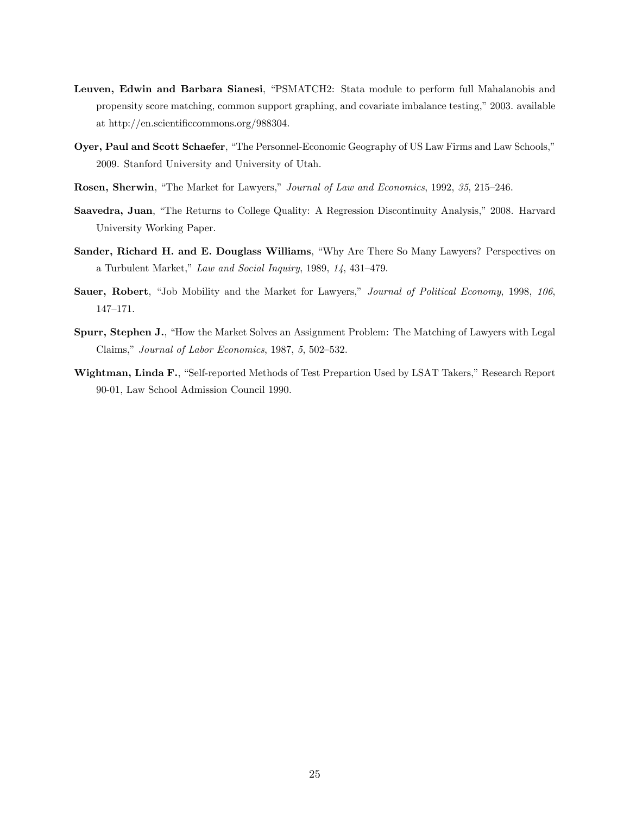- Leuven, Edwin and Barbara Sianesi, "PSMATCH2: Stata module to perform full Mahalanobis and propensity score matching, common support graphing, and covariate imbalance testing," 2003. available at http://en.scientificcommons.org/988304.
- Oyer, Paul and Scott Schaefer, "The Personnel-Economic Geography of US Law Firms and Law Schools," 2009. Stanford University and University of Utah.
- Rosen, Sherwin, "The Market for Lawyers," Journal of Law and Economics, 1992, 35, 215–246.
- Saavedra, Juan, "The Returns to College Quality: A Regression Discontinuity Analysis," 2008. Harvard University Working Paper.
- Sander, Richard H. and E. Douglass Williams, "Why Are There So Many Lawyers? Perspectives on a Turbulent Market," Law and Social Inquiry, 1989,  $14$ , 431-479.
- Sauer, Robert, "Job Mobility and the Market for Lawyers," Journal of Political Economy, 1998, 106, 147-171.
- Spurr, Stephen J., "How the Market Solves an Assignment Problem: The Matching of Lawyers with Legal Claims," Journal of Labor Economics, 1987, 5, 502-532.
- Wightman, Linda F., "Self-reported Methods of Test Prepartion Used by LSAT Takers," Research Report 90-01, Law School Admission Council 1990.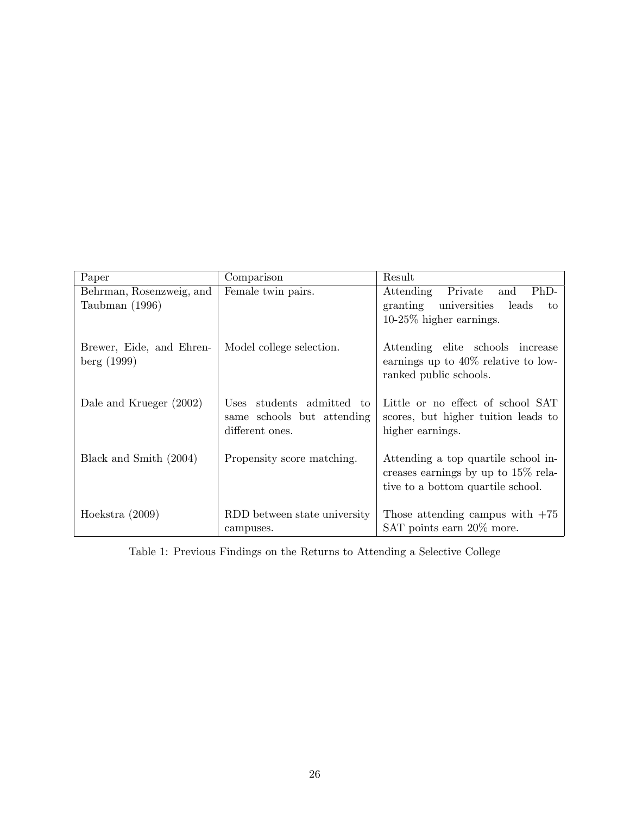| Paper                                      | Comparison                                                                 | Result                                                                                                             |
|--------------------------------------------|----------------------------------------------------------------------------|--------------------------------------------------------------------------------------------------------------------|
| Behrman, Rosenzweig, and<br>Taubman (1996) | Female twin pairs.                                                         | $PhD-$<br>Attending<br>Private<br>and<br>granting universities<br>leads<br>to<br>$10-25\%$ higher earnings.        |
| Brewer, Eide, and Ehren-<br>berg(1999)     | Model college selection.                                                   | Attending elite schools increase<br>earnings up to $40\%$ relative to low-<br>ranked public schools.               |
| Dale and Krueger (2002)                    | Uses students admitted to<br>same schools but attending<br>different ones. | Little or no effect of school SAT<br>scores, but higher tuition leads to<br>higher earnings.                       |
| Black and Smith (2004)                     | Propensity score matching.                                                 | Attending a top quartile school in-<br>creases earnings by up to $15\%$ rela-<br>tive to a bottom quartile school. |
| Hoekstra $(2009)$                          | RDD between state university<br>campuses.                                  | Those attending campus with $+75$<br>SAT points earn 20\% more.                                                    |

Table 1: Previous Findings on the Returns to Attending a Selective College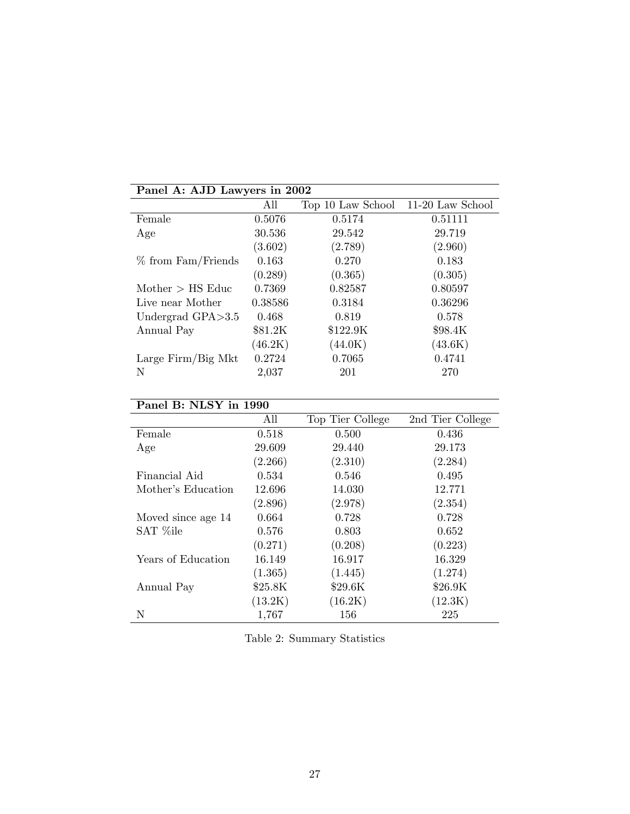| Panel A: AJD Lawyers in 2002 |         |                   |                  |
|------------------------------|---------|-------------------|------------------|
|                              | All     | Top 10 Law School | 11-20 Law School |
| Female                       | 0.5076  | 0.5174            | 0.51111          |
| Age                          | 30.536  | 29.542            | 29.719           |
|                              | (3.602) | (2.789)           | (2.960)          |
| $%$ from Fam/Friends         | 0.163   | 0.270             | 0.183            |
|                              | (0.289) | (0.365)           | (0.305)          |
| Mother $>$ HS Educ           | 0.7369  | 0.82587           | 0.80597          |
| Live near Mother             | 0.38586 | 0.3184            | 0.36296          |
| Undergrad $GPA > 3.5$        | 0.468   | 0.819             | 0.578            |
| Annual Pay                   | \$81.2K | \$122.9K          | \$98.4K          |
|                              | (46.2K) | (44.0K)           | (43.6K)          |
| Large $Firm/Big$ Mkt         | 0.2724  | 0.7065            | 0.4741           |
| N                            | 2,037   | 201               | 270              |

# Panel B: NLSY in 1990

|                    | All     | Top Tier College | 2nd Tier College |
|--------------------|---------|------------------|------------------|
| Female             | 0.518   | 0.500            | 0.436            |
| Age                | 29.609  | 29.440           | 29.173           |
|                    | (2.266) | (2.310)          | (2.284)          |
| Financial Aid      | 0.534   | 0.546            | 0.495            |
| Mother's Education | 12.696  | 14.030           | 12.771           |
|                    | (2.896) | (2.978)          | (2.354)          |
| Moved since age 14 | 0.664   | 0.728            | 0.728            |
| SAT %ile           | 0.576   | 0.803            | 0.652            |
|                    | (0.271) | (0.208)          | (0.223)          |
| Years of Education | 16.149  | 16.917           | 16.329           |
|                    | (1.365) | (1.445)          | (1.274)          |
| Annual Pay         | \$25.8K | \$29.6K          | \$26.9K          |
|                    | (13.2K) | (16.2K)          | (12.3K)          |
| Ν                  | 1,767   | 156              | 225              |

|  | Table 2: Summary Statistics |  |
|--|-----------------------------|--|
|--|-----------------------------|--|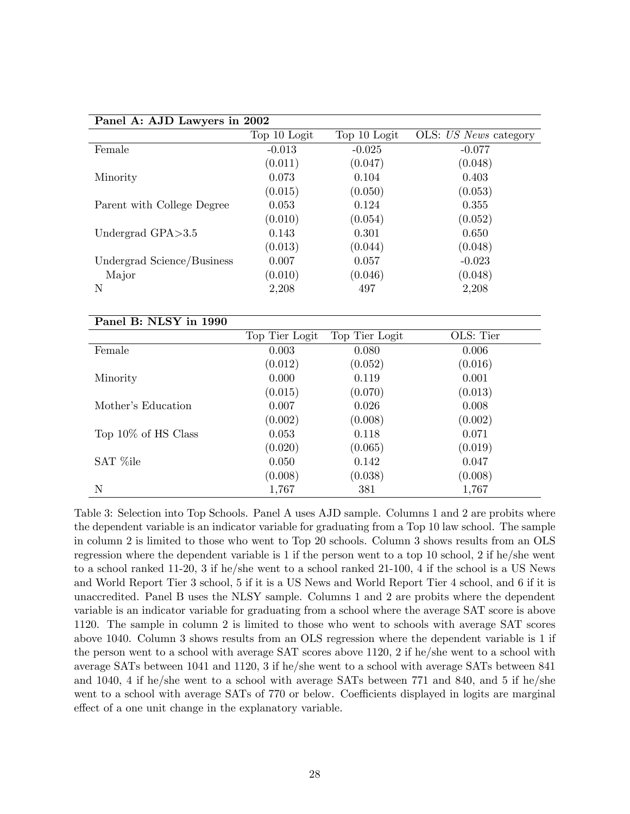| Panel A: AJD Lawyers in 2002 |              |              |                       |  |  |  |
|------------------------------|--------------|--------------|-----------------------|--|--|--|
|                              | Top 10 Logit | Top 10 Logit | OLS: US News category |  |  |  |
| Female                       | $-0.013$     | $-0.025$     | $-0.077$              |  |  |  |
|                              | (0.011)      | (0.047)      | (0.048)               |  |  |  |
| Minority                     | 0.073        | 0.104        | 0.403                 |  |  |  |
|                              | (0.015)      | (0.050)      | (0.053)               |  |  |  |
| Parent with College Degree   | 0.053        | 0.124        | 0.355                 |  |  |  |
|                              | (0.010)      | (0.054)      | (0.052)               |  |  |  |
| Undergrad $GPA > 3.5$        | 0.143        | 0.301        | 0.650                 |  |  |  |
|                              | (0.013)      | (0.044)      | (0.048)               |  |  |  |
| Undergrad Science/Business   | 0.007        | 0.057        | $-0.023$              |  |  |  |
| Major                        | (0.010)      | (0.046)      | (0.048)               |  |  |  |
| N                            | 2,208        | 497          | 2,208                 |  |  |  |
|                              |              |              |                       |  |  |  |

| Panel B: NLSY in 1990  |                |                |           |
|------------------------|----------------|----------------|-----------|
|                        | Top Tier Logit | Top Tier Logit | OLS: Tier |
| Female                 | 0.003          | 0.080          | 0.006     |
|                        | (0.012)        | (0.052)        | (0.016)   |
| Minority               | 0.000          | 0.119          | 0.001     |
|                        | (0.015)        | (0.070)        | (0.013)   |
| Mother's Education     | 0.007          | 0.026          | 0.008     |
|                        | (0.002)        | (0.008)        | (0.002)   |
| Top $10\%$ of HS Class | 0.053          | 0.118          | 0.071     |
|                        | (0.020)        | (0.065)        | (0.019)   |
| SAT %ile               | 0.050          | 0.142          | 0.047     |
|                        | (0.008)        | (0.038)        | (0.008)   |
| N                      | 1,767          | 381            | 1,767     |

Table 3: Selection into Top Schools. Panel A uses AJD sample. Columns 1 and 2 are probits where the dependent variable is an indicator variable for graduating from a Top 10 law school. The sample in column 2 is limited to those who went to Top 20 schools. Column 3 shows results from an OLS regression where the dependent variable is 1 if the person went to a top 10 school, 2 if he/she went to a school ranked 11-20, 3 if he/she went to a school ranked 21-100, 4 if the school is a US News and World Report Tier 3 school, 5 if it is a US News and World Report Tier 4 school, and 6 if it is unaccredited. Panel B uses the NLSY sample. Columns 1 and 2 are probits where the dependent variable is an indicator variable for graduating from a school where the average SAT score is above 1120. The sample in column 2 is limited to those who went to schools with average SAT scores above 1040. Column 3 shows results from an OLS regression where the dependent variable is 1 if the person went to a school with average SAT scores above 1120, 2 if he/she went to a school with average SATs between 1041 and 1120, 3 if he/she went to a school with average SATs between 841 and 1040, 4 if he/she went to a school with average SATs between 771 and 840, and 5 if he/she went to a school with average SATs of 770 or below. Coefficients displayed in logits are marginal effect of a one unit change in the explanatory variable.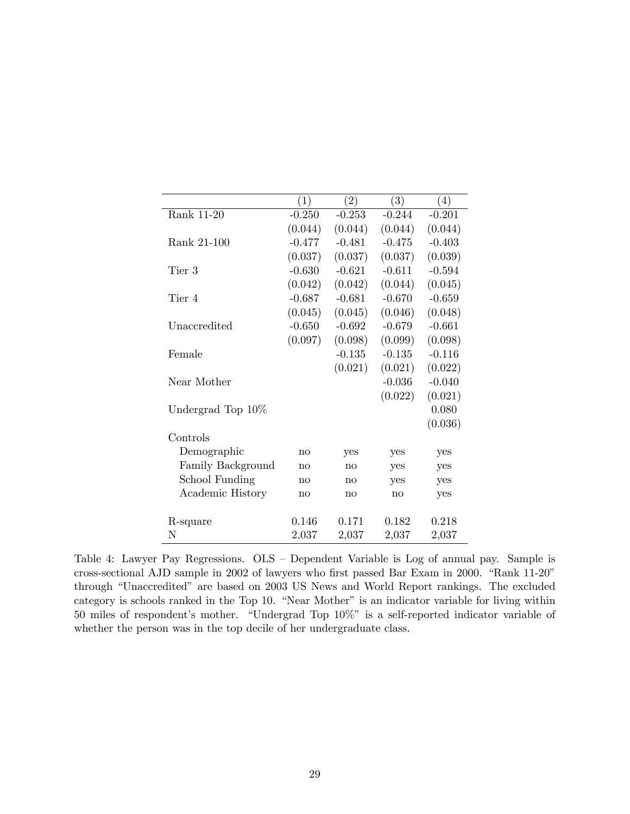|                       | (1)          | (2)          | (3)      | $\left(4\right)$ |
|-----------------------|--------------|--------------|----------|------------------|
| Rank 11-20            | $-0.250$     | $-0.253$     | $-0.244$ | $-0.201$         |
|                       | (0.044)      | (0.044)      | (0.044)  | (0.044)          |
| Rank 21-100           | $-0.477$     | $-0.481$     | $-0.475$ | $-0.403$         |
|                       | (0.037)      | (0.037)      | (0.037)  | (0.039)          |
| Tier 3                | $-0.630$     | $-0.621$     | $-0.611$ | $-0.594$         |
|                       | (0.042)      | (0.042)      | (0.044)  | (0.045)          |
| Tier 4                | $-0.687$     | $-0.681$     | $-0.670$ | $-0.659$         |
|                       | (0.045)      | (0.045)      | (0.046)  | (0.048)          |
| Unaccredited          | $-0.650$     | $-0.692$     | $-0.679$ | $-0.661$         |
|                       | (0.097)      | (0.098)      | (0.099)  | (0.098)          |
| Female                |              | $-0.135$     | $-0.135$ | $-0.116$         |
|                       |              | (0.021)      | (0.021)  | (0.022)          |
| Near Mother           |              |              | $-0.036$ | $-0.040$         |
|                       |              |              | (0.022)  | (0.021)          |
| Undergrad Top 10\%    |              |              |          | 0.080            |
|                       |              |              |          | (0.036)          |
| Controls              |              |              |          |                  |
| Demographic           | no           | yes          | yes      | yes              |
| Family Background     | no           | $\mathbf{n}$ | yes      | yes              |
| <b>School Funding</b> | $\mathbf{n}$ | $\mathbf{n}$ | yes      | yes              |
| Academic History      | no           | no           | no       | yes              |
|                       |              |              |          |                  |
| R-square              | 0.146        | 0.171        | 0.182    | 0.218            |
| N                     | 2,037        | 2,037        | 2,037    | 2,037            |

Table 4: Lawyer Pay Regressions. OLS – Dependent Variable is Log of annual pay. Sample is cross-sectional AJD sample in 2002 of lawyers who first passed Bar Exam in 2000. "Rank 11-20" through "Unaccredited" are based on 2003 US News and World Report rankings. The excluded category is schools ranked in the Top 10. "Near Mother" is an indicator variable for living within 50 miles of respondent's mother. "Undergrad Top  $10\%$ " is a self-reported indicator variable of whether the person was in the top decile of her undergraduate class.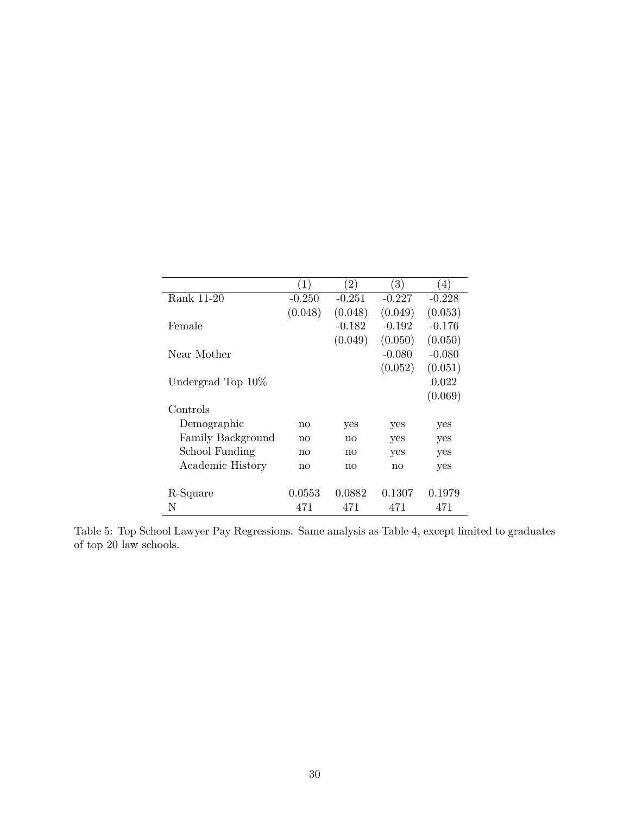|                    | (1)      | $\left( 2\right)$ | (3)      | $\left( 4\right)$ |
|--------------------|----------|-------------------|----------|-------------------|
| Rank 11-20         | $-0.250$ | $-0.251$          | $-0.227$ | $-0.228$          |
|                    | (0.048)  | (0.048)           | (0.049)  | (0.053)           |
| Female             |          | $-0.182$          | $-0.192$ | $-0.176$          |
|                    |          | (0.049)           | (0.050)  | (0.050)           |
| Near Mother        |          |                   | $-0.080$ | $-0.080$          |
|                    |          |                   | (0.052)  | (0.051)           |
| Undergrad Top 10\% |          |                   |          | 0.022             |
|                    |          |                   |          | (0.069)           |
| Controls           |          |                   |          |                   |
| Demographic        | no       | yes               | yes      | yes               |
| Family Background  | no       | no                | yes      | yes               |
| School Funding     | no       | no                | yes      | yes               |
| Academic History   | no       | no                | no       | yes               |
|                    |          |                   |          |                   |
| R-Square           | 0.0553   | 0.0882            | 0.1307   | 0.1979            |
| N                  | 471      | 471               | 471      | 471               |

Table 5: Top School Lawyer Pay Regressions. Same analysis as Table 4, except limited to graduates of top 20 law schools.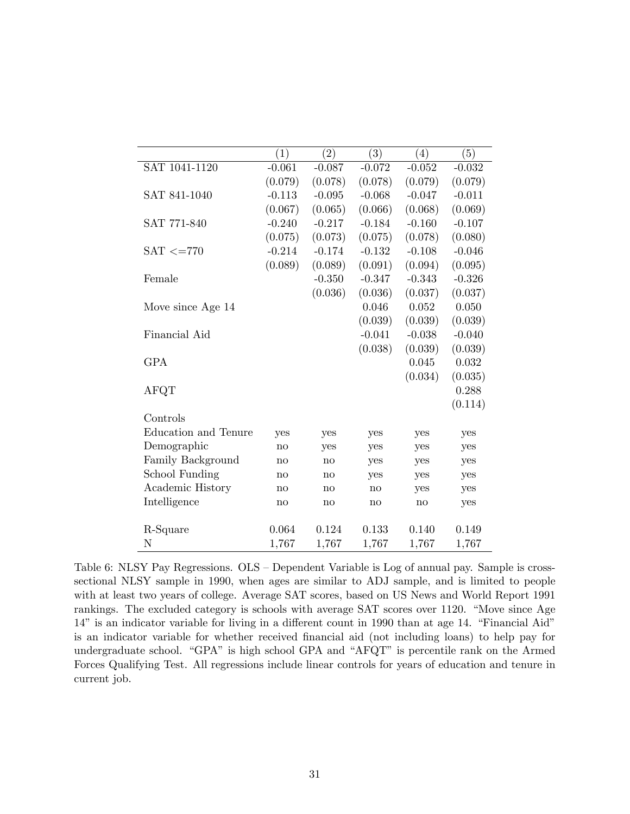|                             | $\left( 1\right)$      | (2)          | $\bar{(}3)$ | $\left(4\right)$ | (5)      |
|-----------------------------|------------------------|--------------|-------------|------------------|----------|
| SAT 1041-1120               | $-0.061$               | $-0.087$     | $-0.072$    | $-0.052$         | $-0.032$ |
|                             | (0.079)                | (0.078)      | (0.078)     | (0.079)          | (0.079)  |
| SAT 841-1040                | $-0.113$               | $-0.095$     | $-0.068$    | $-0.047$         | $-0.011$ |
|                             | (0.067)                | (0.065)      | (0.066)     | (0.068)          | (0.069)  |
| SAT 771-840                 | $-0.240$               | $-0.217$     | $-0.184$    | $-0.160$         | $-0.107$ |
|                             | (0.075)                | (0.073)      | (0.075)     | (0.078)          | (0.080)  |
| $SAT \leq = 770$            | $-0.214$               | $-0.174$     | $-0.132$    | $-0.108$         | $-0.046$ |
|                             | (0.089)                | (0.089)      | (0.091)     | (0.094)          | (0.095)  |
| Female                      |                        | $-0.350$     | $-0.347$    | $-0.343$         | $-0.326$ |
|                             |                        | (0.036)      | (0.036)     | (0.037)          | (0.037)  |
| Move since Age 14           |                        |              | 0.046       | 0.052            | 0.050    |
|                             |                        |              | (0.039)     | (0.039)          | (0.039)  |
| Financial Aid               |                        |              | $-0.041$    | $-0.038$         | $-0.040$ |
|                             |                        |              | (0.038)     | (0.039)          | (0.039)  |
| <b>GPA</b>                  |                        |              |             | 0.045            | 0.032    |
|                             |                        |              |             | (0.034)          | (0.035)  |
| <b>AFQT</b>                 |                        |              |             |                  | 0.288    |
|                             |                        |              |             |                  | (0.114)  |
| Controls                    |                        |              |             |                  |          |
| <b>Education and Tenure</b> | yes                    | yes          | yes         | yes              | yes      |
| Demographic                 | no                     | yes          | yes         | yes              | yes      |
| Family Background           | $\mathbf{no}$          | $\mathbf{n}$ | yes         | yes              | yes      |
| School Funding              | $\mathbf{n}$           | $\mathbf{n}$ | yes         | yes              | yes      |
| Academic History            | $\mathbf{n}\mathbf{o}$ | no           | no          | yes              | yes      |
| Intelligence                | $\mathbf{n}\mathbf{o}$ | $\mathbf{n}$ | no          | no               | yes      |
|                             |                        |              |             |                  |          |
| R-Square                    | 0.064                  | 0.124        | 0.133       | 0.140            | 0.149    |
| Ν                           | 1,767                  | 1,767        | 1,767       | 1,767            | 1,767    |

Table 6: NLSY Pay Regressions. OLS – Dependent Variable is Log of annual pay. Sample is crosssectional NLSY sample in 1990, when ages are similar to ADJ sample, and is limited to people with at least two years of college. Average SAT scores, based on US News and World Report 1991 rankings. The excluded category is schools with average SAT scores over 1120. "Move since Age 14" is an indicator variable for living in a different count in 1990 than at age 14. "Financial Aid" is an indicator variable for whether received financial aid (not including loans) to help pay for undergraduate school. "GPA" is high school GPA and "AFQT" is percentile rank on the Armed Forces Qualifying Test. All regressions include linear controls for years of education and tenure in current job.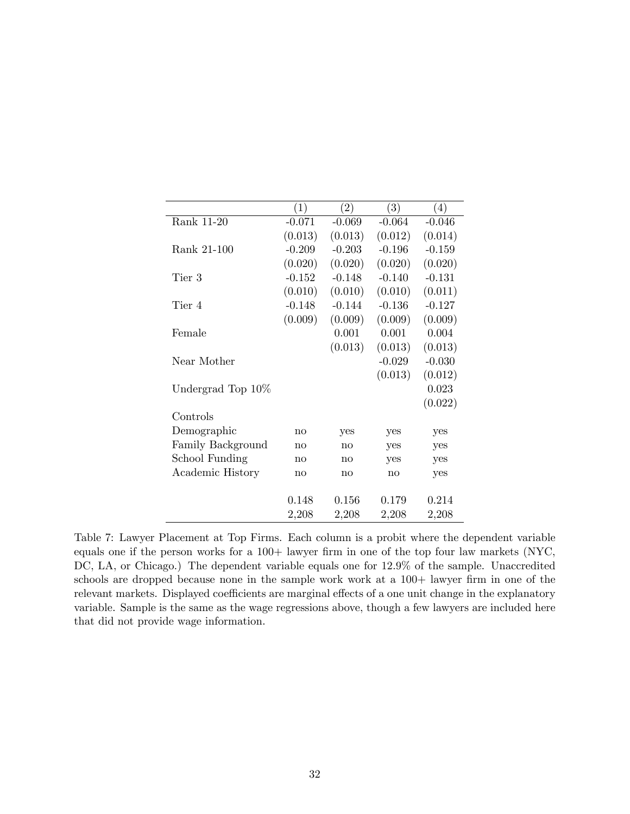|                    | $\left(1\right)$ | $\left( 2\right)$ | (3)      | $\left( 4\right)$ |
|--------------------|------------------|-------------------|----------|-------------------|
| Rank 11-20         | $-0.071$         | $-0.069$          | $-0.064$ | $-0.046$          |
|                    | (0.013)          | (0.013)           | (0.012)  | (0.014)           |
| Rank 21-100        | $-0.209$         | $-0.203$          | $-0.196$ | $-0.159$          |
|                    | (0.020)          | (0.020)           | (0.020)  | (0.020)           |
| Tier 3             | $-0.152$         | $-0.148$          | $-0.140$ | $-0.131$          |
|                    | (0.010)          | (0.010)           | (0.010)  | (0.011)           |
| Tier 4             | $-0.148$         | $-0.144$          | $-0.136$ | $-0.127$          |
|                    | (0.009)          | (0.009)           | (0.009)  | (0.009)           |
| Female             |                  | 0.001             | 0.001    | 0.004             |
|                    |                  | (0.013)           | (0.013)  | (0.013)           |
| Near Mother        |                  |                   | $-0.029$ | $-0.030$          |
|                    |                  |                   | (0.013)  | (0.012)           |
| Undergrad Top 10\% |                  |                   |          | 0.023             |
|                    |                  |                   |          | (0.022)           |
| Controls           |                  |                   |          |                   |
| Demographic        | no               | yes               | yes      | yes               |
| Family Background  | $\mathbf{no}$    | no                | yes      | yes               |
| School Funding     | no               | $\mathbf{n}$      | yes      | yes               |
| Academic History   | $\mathbf{no}$    | $\mathbf{n}$      | no       | yes               |
|                    |                  |                   |          |                   |
|                    | 0.148            | 0.156             | 0.179    | 0.214             |
|                    | 2,208            | 2,208             | 2,208    | 2,208             |

Table 7: Lawyer Placement at Top Firms. Each column is a probit where the dependent variable equals one if the person works for a  $100+$  lawyer firm in one of the top four law markets (NYC, DC, LA, or Chicago.) The dependent variable equals one for  $12.9\%$  of the sample. Unaccredited schools are dropped because none in the sample work work at a 100+ lawyer firm in one of the relevant markets. Displayed coefficients are marginal effects of a one unit change in the explanatory variable. Sample is the same as the wage regressions above, though a few lawyers are included here that did not provide wage information.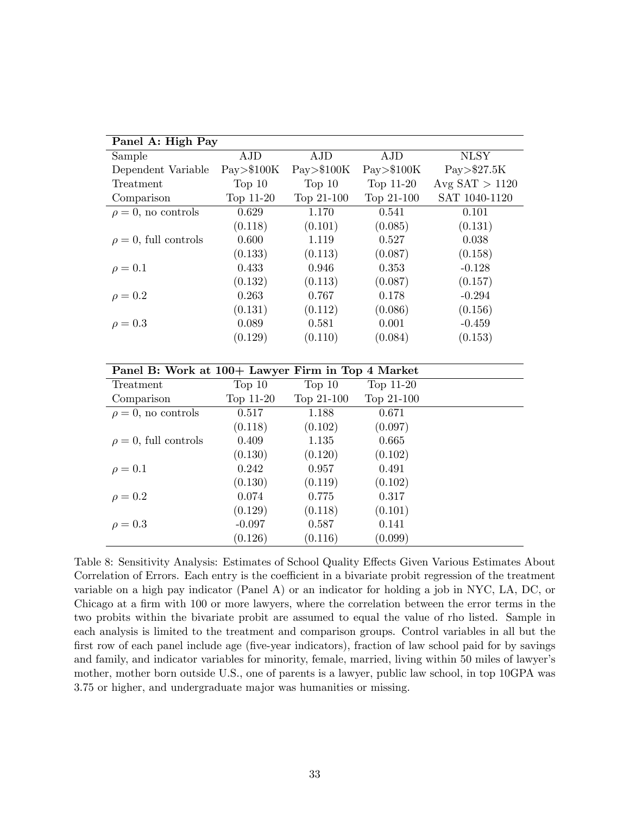| Panel A: High Pay                                 |                  |                  |                  |                  |
|---------------------------------------------------|------------------|------------------|------------------|------------------|
| Sample                                            | <b>AJD</b>       | AJD              | <b>AJD</b>       | <b>NLSY</b>      |
| Dependent Variable                                | $Pay>$ \$100 $K$ | $Pay>$ \$100 $K$ | $Pay>$ \$100 $K$ | Pay>\$27.5K      |
| Treatment                                         | Top $10$         | Top $10$         | Top 11-20        | Avg $SAT > 1120$ |
| Comparison                                        | Top 11-20        | Top 21-100       | Top 21-100       | SAT 1040-1120    |
| $\rho = 0$ , no controls                          | 0.629            | 1.170            | 0.541            | 0.101            |
|                                                   | (0.118)          | (0.101)          | (0.085)          | (0.131)          |
| $\rho = 0$ , full controls                        | 0.600            | 1.119            | 0.527            | 0.038            |
|                                                   | (0.133)          | (0.113)          | (0.087)          | (0.158)          |
| $\rho = 0.1$                                      | 0.433            | 0.946            | 0.353            | $-0.128$         |
|                                                   | (0.132)          | (0.113)          | (0.087)          | (0.157)          |
| $\rho = 0.2$                                      | 0.263            | 0.767            | 0.178            | $-0.294$         |
|                                                   | (0.131)          | (0.112)          | (0.086)          | (0.156)          |
| $\rho = 0.3$                                      | 0.089            | 0.581            | 0.001            | $-0.459$         |
|                                                   | (0.129)          | (0.110)          | (0.084)          | (0.153)          |
|                                                   |                  |                  |                  |                  |
| Panel B: Work at 100+ Lawyer Firm in Top 4 Market |                  |                  |                  |                  |
| Treatment                                         | Top $10$         | Top $10$         | Top 11-20        |                  |
| Comparison                                        | Top 11-20        | Top 21-100       | Top 21-100       |                  |
| $\rho = 0$ , no controls                          | 0.517            | 1.188            | 0.671            |                  |
|                                                   | (0.118)          | (0.102)          | (0.097)          |                  |
| $\rho = 0$ , full controls                        | 0.409            | 1.135            | 0.665            |                  |
|                                                   | (0.130)          | (0.120)          | (0.102)          |                  |
| $\rho = 0.1$                                      | 0.242            | 0.957            | 0.491            |                  |
|                                                   | (0.130)          | (0.119)          | (0.102)          |                  |
| $\rho = 0.2$                                      | 0.074            | 0.775            | 0.317            |                  |
|                                                   | (0.129)          | (0.118)          | (0.101)          |                  |
| $\rho = 0.3$                                      | $-0.097$         | 0.587            | 0.141            |                  |

Table 8: Sensitivity Analysis: Estimates of School Quality Effects Given Various Estimates About Correlation of Errors. Each entry is the coefficient in a bivariate probit regression of the treatment variable on a high pay indicator (Panel A) or an indicator for holding a job in NYC, LA, DC, or Chicago at a firm with 100 or more lawyers, where the correlation between the error terms in the two probits within the bivariate probit are assumed to equal the value of rho listed. Sample in each analysis is limited to the treatment and comparison groups. Control variables in all but the first row of each panel include age (five-year indicators), fraction of law school paid for by savings and family, and indicator variables for minority, female, married, living within 50 miles of lawyer's mother, mother born outside U.S., one of parents is a lawyer, public law school, in top 10GPA was 3.75 or higher, and undergraduate major was humanities or missing.

 $(0.126)$   $(0.116)$   $(0.099)$